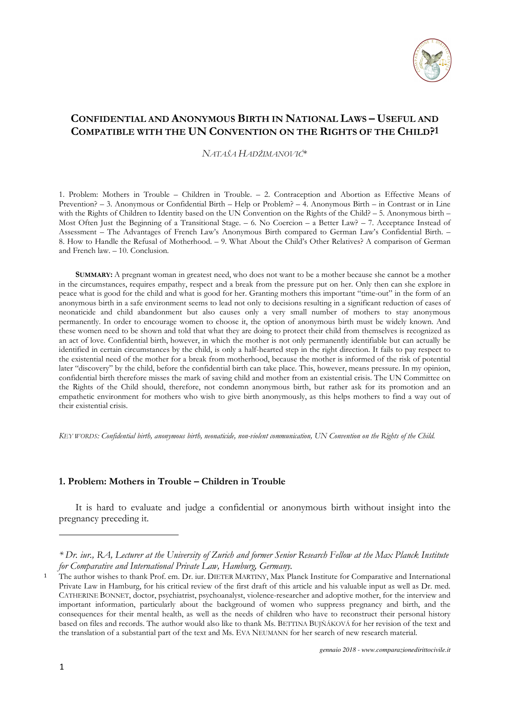

# **CONFIDENTIAL AND ANONYMOUS BIRTH IN NATIONAL LAWS – USEFUL AND COMPATIBLE WITH THE UN CONVENTION ON THE RIGHTS OF THE CHILD?1**

*NATAŠA HADŽIMANOVIĆ*\*

1. Problem: Mothers in Trouble – Children in Trouble. – 2. Contraception and Abortion as Effective Means of Prevention? – 3. Anonymous or Confidential Birth – Help or Problem? – 4. Anonymous Birth – in Contrast or in Line with the Rights of Children to Identity based on the UN Convention on the Rights of the Child? – 5. Anonymous birth – Most Often Just the Beginning of a Transitional Stage. – 6. No Coercion – a Better Law? – 7. Acceptance Instead of Assessment – The Advantages of French Law's Anonymous Birth compared to German Law's Confidential Birth. – 8. How to Handle the Refusal of Motherhood. – 9. What About the Child's Other Relatives? A comparison of German and French law. – 10. Conclusion.

**SUMMARY:** A pregnant woman in greatest need, who does not want to be a mother because she cannot be a mother in the circumstances, requires empathy, respect and a break from the pressure put on her. Only then can she explore in peace what is good for the child and what is good for her. Granting mothers this important "time-out" in the form of an anonymous birth in a safe environment seems to lead not only to decisions resulting in a significant reduction of cases of neonaticide and child abandonment but also causes only a very small number of mothers to stay anonymous permanently. In order to encourage women to choose it, the option of anonymous birth must be widely known. And these women need to be shown and told that what they are doing to protect their child from themselves is recognized as an act of love. Confidential birth, however, in which the mother is not only permanently identifiable but can actually be identified in certain circumstances by the child, is only a half-hearted step in the right direction. It fails to pay respect to the existential need of the mother for a break from motherhood, because the mother is informed of the risk of potential later "discovery" by the child, before the confidential birth can take place. This, however, means pressure. In my opinion, confidential birth therefore misses the mark of saving child and mother from an existential crisis. The UN Committee on the Rights of the Child should, therefore, not condemn anonymous birth, but rather ask for its promotion and an empathetic environment for mothers who wish to give birth anonymously, as this helps mothers to find a way out of their existential crisis.

*KEY WORDS: Confidential birth, anonymous birth, neonaticide, non-violent communication, UN Convention on the Rights of the Child.* 

## **1. Problem: Mothers in Trouble – Children in Trouble**

It is hard to evaluate and judge a confidential or anonymous birth without insight into the pregnancy preceding it.

*<sup>\*</sup> Dr. iur., RA, Lecturer at the University of Zurich and former Senior Research Fellow at the Max Planck Institute for Comparative and International Private Law, Hamburg, Germany.* 

<sup>&</sup>lt;sup>1</sup> The author wishes to thank Prof. em. Dr. iur. DIETER MARTINY, Max Planck Institute for Comparative and International Private Law in Hamburg, for his critical review of the first draft of this article and his valuable input as well as Dr. med. CATHERINE BONNET, doctor, psychiatrist, psychoanalyst, violence-researcher and adoptive mother, for the interview and important information, particularly about the background of women who suppress pregnancy and birth, and the consequences for their mental health, as well as the needs of children who have to reconstruct their personal history based on files and records. The author would also like to thank Ms. BETTINA BUJŇÁKOVÁ for her revision of the text and the translation of a substantial part of the text and Ms. EVA NEUMANN for her search of new research material.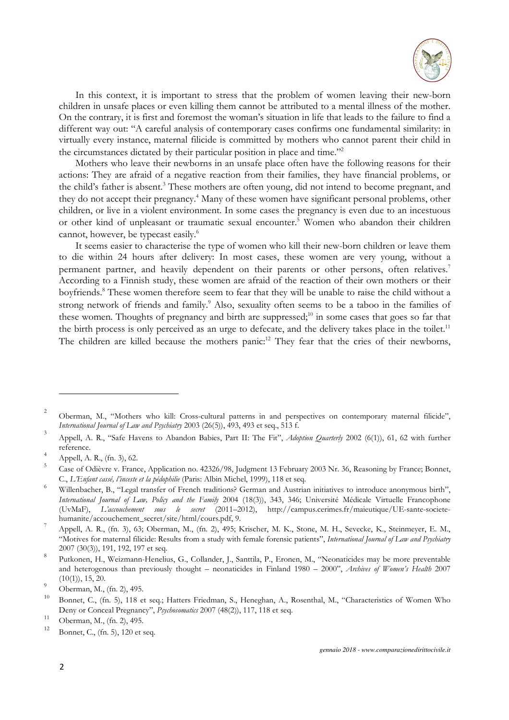

In this context, it is important to stress that the problem of women leaving their new-born children in unsafe places or even killing them cannot be attributed to a mental illness of the mother. On the contrary, it is first and foremost the woman's situation in life that leads to the failure to find a different way out: "A careful analysis of contemporary cases confirms one fundamental similarity: in virtually every instance, maternal filicide is committed by mothers who cannot parent their child in the circumstances dictated by their particular position in place and time."<sup>2</sup>

Mothers who leave their newborns in an unsafe place often have the following reasons for their actions: They are afraid of a negative reaction from their families, they have financial problems, or the child's father is absent.<sup>3</sup> These mothers are often young, did not intend to become pregnant, and they do not accept their pregnancy.<sup>4</sup> Many of these women have significant personal problems, other children, or live in a violent environment. In some cases the pregnancy is even due to an incestuous or other kind of unpleasant or traumatic sexual encounter.<sup>5</sup> Women who abandon their children cannot, however, be typecast easily.<sup>6</sup>

It seems easier to characterise the type of women who kill their new-born children or leave them to die within 24 hours after delivery: In most cases, these women are very young, without a permanent partner, and heavily dependent on their parents or other persons, often relatives.<sup>7</sup> According to a Finnish study, these women are afraid of the reaction of their own mothers or their boyfriends.<sup>8</sup> These women therefore seem to fear that they will be unable to raise the child without a strong network of friends and family.<sup>9</sup> Also, sexuality often seems to be a taboo in the families of these women. Thoughts of pregnancy and birth are suppressed;<sup>10</sup> in some cases that goes so far that the birth process is only perceived as an urge to defecate, and the delivery takes place in the toilet.<sup>11</sup> The children are killed because the mothers panic:<sup>12</sup> They fear that the cries of their newborns,

 $\overline{2}$  Oberman, M., "Mothers who kill: Cross-cultural patterns in and perspectives on contemporary maternal filicide", *International Journal of Law and Psychiatry* 2003 (26(5)), 493, 493 et seq., 513 f. 3

Appell, A. R., "Safe Havens to Abandon Babies, Part II: The Fit", *Adoption Quarterly* 2002 (6(1)), 61, 62 with further reference.

 $^{4}$  Appell, A. R., (fn. 3), 62.

<sup>5</sup>Case of Odièvre v. France, Application no. 42326/98, Judgment 13 February 2003 Nr. 36, Reasoning by France; Bonnet, C., *L'Enfant cassé, l'inceste et la pédophilie* (Paris: Albin Michel, 1999), 118 et seq.

<sup>6</sup> Willenbacher, B., "Legal transfer of French traditions? German and Austrian initiatives to introduce anonymous birth", *International Journal of Law, Policy and the Family* 2004 (18(3)), 343, 346; Université Médicale Virtuelle Francophone L'accouchement sous le secret (2011–2012), http://campus.cerimes.fr/maieutique/UE-sante-societehumanite/accouchement\_secret/site/html/cours.pdf, 9.

<sup>7</sup>Appell, A. R., (fn. 3), 63; Oberman, M., (fn. 2), 495; Krischer, M. K., Stone, M. H., Sevecke, K., Steinmeyer, E. M., "Motives for maternal filicide: Results from a study with female forensic patients", *International Journal of Law and Psychiatry* 2007 (30(3)), 191, 192, 197 et seq.

<sup>8</sup> Putkonen, H., Weizmann-Henelius, G., Collander, J., Santtila, P., Eronen, M., "Neonaticides may be more preventable and heterogenous than previously thought – neonaticides in Finland 1980 – 2000", *Archives of Women's Health* 2007  $(10(1)), 15, 20.$ 9

Oberman, M., (fn. 2), 495.

<sup>10</sup>Bonnet, C., (fn. 5), 118 et seq.; Hatters Friedman, S., Heneghan, A., Rosenthal, M., "Characteristics of Women Who Deny or Conceal Pregnancy", *Psychosomatics* 2007 (48(2)), 117, 118 et seq.

<sup>&</sup>lt;sup>11</sup> Oberman, M., (fn. 2), 495.

Bonnet, C., (fn. 5), 120 et seq.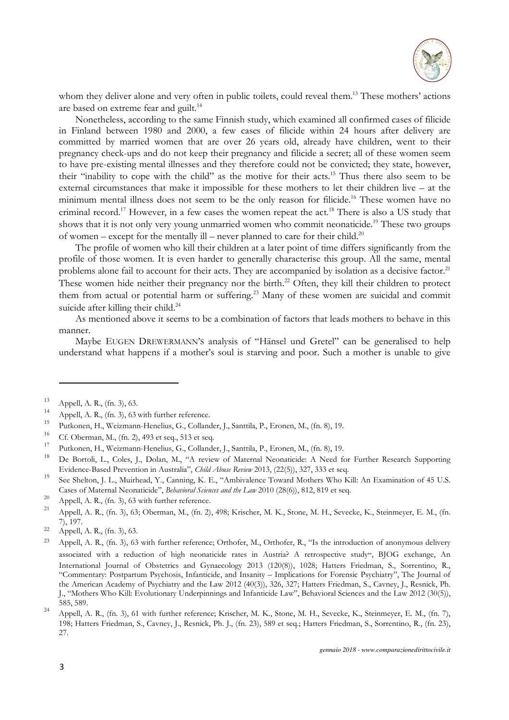

whom they deliver alone and very often in public toilets, could reveal them.<sup>13</sup> These mothers' actions are based on extreme fear and guilt.<sup>14</sup>

Nonetheless, according to the same Finnish study, which examined all confirmed cases of filicide in Finland between 1980 and 2000, a few cases of filicide within 24 hours after delivery are committed by married women that are over 26 years old, already have children, went to their pregnancy check-ups and do not keep their pregnancy and filicide a secret; all of these women seem to have pre-existing mental illnesses and they therefore could not be convicted; they state, however, their "inability to cope with the child" as the motive for their acts.<sup>15</sup> Thus there also seem to be external circumstances that make it impossible for these mothers to let their children live – at the minimum mental illness does not seem to be the only reason for filicide.<sup>16</sup> These women have no criminal record.<sup>17</sup> However, in a few cases the women repeat the act.<sup>18</sup> There is also a US study that shows that it is not only very young unmarried women who commit neonaticide.<sup>19</sup> These two groups of women – except for the mentally ill – never planned to care for their child.<sup>20</sup>

The profile of women who kill their children at a later point of time differs significantly from the profile of those women. It is even harder to generally characterise this group. All the same, mental problems alone fail to account for their acts. They are accompanied by isolation as a decisive factor.<sup>21</sup> These women hide neither their pregnancy nor the birth.<sup>22</sup> Often, they kill their children to protect them from actual or potential harm or suffering.<sup>23</sup> Many of these women are suicidal and commit suicide after killing their child. $^{24}$ 

As mentioned above it seems to be a combination of factors that leads mothers to behave in this manner.

Maybe EUGEN DREWERMANN'S analysis of "Hänsel und Gretel" can be generalised to help understand what happens if a mother's soul is starving and poor. Such a mother is unable to give

 $13$  Appell, A. R., (fn. 3), 63.

<sup>&</sup>lt;sup>14</sup> Appell, A. R., (fn. 3), 63 with further reference.

<sup>&</sup>lt;sup>15</sup> Putkonen, H., Weizmann-Henelius, G., Collander, J., Santtila, P., Eronen, M., (fn. 8), 19.

<sup>&</sup>lt;sup>16</sup> Cf. Oberman, M., (fn. 2), 493 et seq., 513 et seq.

<sup>&</sup>lt;sup>17</sup>Putkonen, H., Weizmann-Henelius, G., Collander, J., Santtila, P., Eronen, M., (fn. 8), 19.

<sup>18</sup> De Bortoli, L., Coles, J., Dolan, M., "A review of Maternal Neonaticide: A Need for Further Research Supporting Evidence-Based Prevention in Australia", *Child Abuse Review* 2013, (22(5)), 327, 333 et seq.

<sup>&</sup>lt;sup>19</sup> See Shelton, J. L., Muirhead, Y., Canning, K. E., "Ambivalence Toward Mothers Who Kill: An Examination of 45 U.S. Cases of Maternal Neonaticide", *Behavioral Sciences and the Law* 2010 (28(6)), 812, 819 et seq.

<sup>&</sup>lt;sup>20</sup> Appell, A. R., (fn. 3), 63 with further reference.

Appell, A. R., (fn. 3), 63; Oberman, M., (fn. 2), 498; Krischer, M. K., Stone, M. H., Sevecke, K., Steinmeyer, E. M., (fn. 7), 197.

 $22$  Appell, A. R., (fn. 3), 63.

<sup>&</sup>lt;sup>23</sup> Appell, A. R., (fn. 3), 63 with further reference; Orthofer, M., Orthofer, R., "Is the introduction of anonymous delivery associated with a reduction of high neonaticide rates in Austria? A retrospective study", BJOG exchange, An International Journal of Obstetrics and Gynaecology 2013 (120(8)), 1028; Hatters Friedman, S., Sorrentino, R., "Commentary: Postpartum Psychosis, Infanticide, and Insanity – Implications for Forensic Psychiatry", The Journal of the American Academy of Psychiatry and the Law 2012 (40(3)), 326, 327; Hatters Friedman, S., Cavney, J., Resnick, Ph. J., "Mothers Who Kill: Evolutionary Underpinnings and Infanticide Law", Behavioral Sciences and the Law 2012 (30(5)), 585, 589.

 $^{24}$  Appell, A. R., (fn. 3), 61 with further reference; Krischer, M. K., Stone, M. H., Sevecke, K., Steinmeyer, E. M., (fn. 7), 198; Hatters Friedman, S., Cavney, J., Resnick, Ph. J., (fn. 23), 589 et seq.; Hatters Friedman, S., Sorrentino, R., (fn. 23), 27.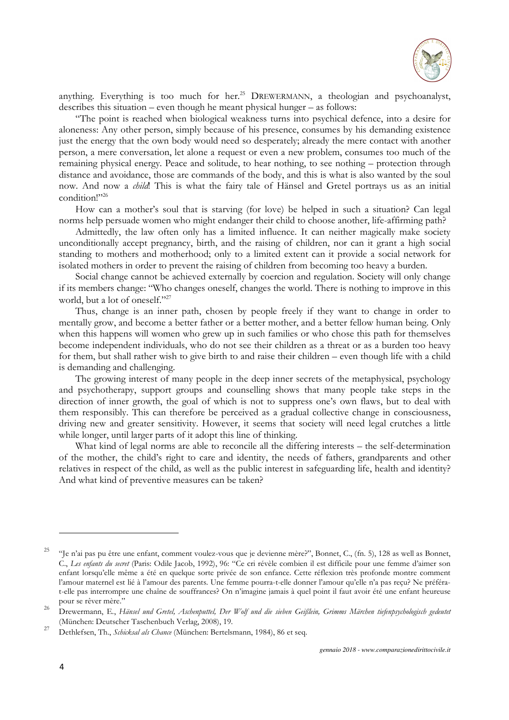

anything. Everything is too much for her.<sup>25</sup> DREWERMANN, a theologian and psychoanalyst, describes this situation – even though he meant physical hunger – as follows:

"The point is reached when biological weakness turns into psychical defence, into a desire for aloneness: Any other person, simply because of his presence, consumes by his demanding existence just the energy that the own body would need so desperately; already the mere contact with another person, a mere conversation, let alone a request or even a new problem, consumes too much of the remaining physical energy. Peace and solitude, to hear nothing, to see nothing – protection through distance and avoidance, those are commands of the body, and this is what is also wanted by the soul now. And now a *child*! This is what the fairy tale of Hänsel and Gretel portrays us as an initial condition!"<sup>26</sup>

How can a mother's soul that is starving (for love) be helped in such a situation? Can legal norms help persuade women who might endanger their child to choose another, life-affirming path?

Admittedly, the law often only has a limited influence. It can neither magically make society unconditionally accept pregnancy, birth, and the raising of children, nor can it grant a high social standing to mothers and motherhood; only to a limited extent can it provide a social network for isolated mothers in order to prevent the raising of children from becoming too heavy a burden.

Social change cannot be achieved externally by coercion and regulation. Society will only change if its members change: "Who changes oneself, changes the world. There is nothing to improve in this world, but a lot of oneself."<sup>27</sup>

Thus, change is an inner path, chosen by people freely if they want to change in order to mentally grow, and become a better father or a better mother, and a better fellow human being. Only when this happens will women who grew up in such families or who chose this path for themselves become independent individuals, who do not see their children as a threat or as a burden too heavy for them, but shall rather wish to give birth to and raise their children – even though life with a child is demanding and challenging.

The growing interest of many people in the deep inner secrets of the metaphysical, psychology and psychotherapy, support groups and counselling shows that many people take steps in the direction of inner growth, the goal of which is not to suppress one's own flaws, but to deal with them responsibly. This can therefore be perceived as a gradual collective change in consciousness, driving new and greater sensitivity. However, it seems that society will need legal crutches a little while longer, until larger parts of it adopt this line of thinking.

What kind of legal norms are able to reconcile all the differing interests – the self-determination of the mother, the child's right to care and identity, the needs of fathers, grandparents and other relatives in respect of the child, as well as the public interest in safeguarding life, health and identity? And what kind of preventive measures can be taken?

<sup>&</sup>lt;sup>25</sup> "Je n'ai pas pu être une enfant, comment voulez-vous que je devienne mère?", Bonnet, C., (fn. 5), 128 as well as Bonnet, C., *Les enfants du secret* (Paris: Odile Jacob, 1992), 96: "Ce cri révèle combien il est difficile pour une femme d'aimer son enfant lorsqu'elle même a été en quelque sorte privée de son enfance. Cette réflexion très profonde montre comment l'amour maternel est lié à l'amour des parents. Une femme pourra-t-elle donner l'amour qu'elle n'a pas reçu? Ne préférat-elle pas interrompre une chaîne de souffrances? On n'imagine jamais à quel point il faut avoir été une enfant heureuse pour se rêver mère."

<sup>&</sup>lt;sup>26</sup> Drewermann, E., Hänsel und Gretel, Aschenputtel, Der Wolf und die sieben Geißlein, Grimms Märchen tiefenpsychologisch gedeutet (München: Deutscher Taschenbuch Verlag, 2008), 19.

<sup>27</sup>Dethlefsen, Th., *Schicksal als Chance* (München: Bertelsmann, 1984), 86 et seq.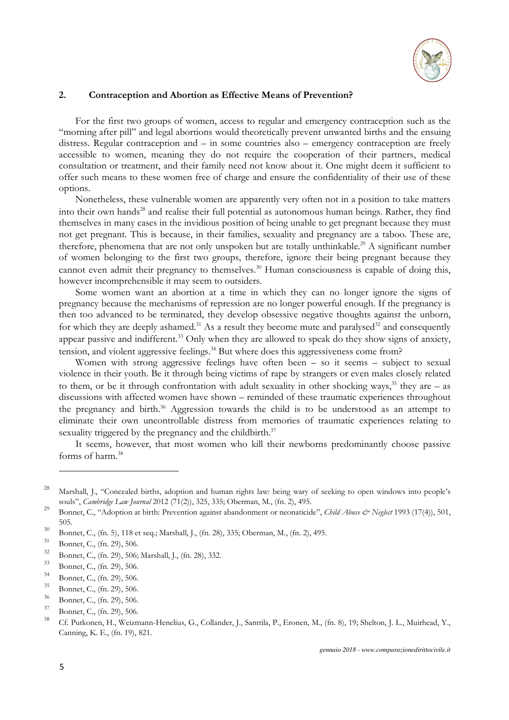

## **2. Contraception and Abortion as Effective Means of Prevention?**

For the first two groups of women, access to regular and emergency contraception such as the "morning after pill" and legal abortions would theoretically prevent unwanted births and the ensuing distress. Regular contraception and – in some countries also – emergency contraception are freely accessible to women, meaning they do not require the cooperation of their partners, medical consultation or treatment, and their family need not know about it. One might deem it sufficient to offer such means to these women free of charge and ensure the confidentiality of their use of these options.

Nonetheless, these vulnerable women are apparently very often not in a position to take matters into their own hands<sup>28</sup> and realise their full potential as autonomous human beings. Rather, they find themselves in many cases in the invidious position of being unable to get pregnant because they must not get pregnant. This is because, in their families, sexuality and pregnancy are a taboo. These are, therefore, phenomena that are not only unspoken but are totally unthinkable.<sup>29</sup> A significant number of women belonging to the first two groups, therefore, ignore their being pregnant because they cannot even admit their pregnancy to themselves.<sup>30</sup> Human consciousness is capable of doing this, however incomprehensible it may seem to outsiders.

Some women want an abortion at a time in which they can no longer ignore the signs of pregnancy because the mechanisms of repression are no longer powerful enough. If the pregnancy is then too advanced to be terminated, they develop obsessive negative thoughts against the unborn, for which they are deeply ashamed.<sup>31</sup> As a result they become mute and paralysed<sup>32</sup> and consequently appear passive and indifferent.<sup>33</sup> Only when they are allowed to speak do they show signs of anxiety, tension, and violent aggressive feelings.<sup>34</sup> But where does this aggressiveness come from?

Women with strong aggressive feelings have often been – so it seems – subject to sexual violence in their youth. Be it through being victims of rape by strangers or even males closely related to them, or be it through confrontation with adult sexuality in other shocking ways,<sup>35</sup> they are – as discussions with affected women have shown – reminded of these traumatic experiences throughout the pregnancy and birth.<sup>36</sup> Aggression towards the child is to be understood as an attempt to eliminate their own uncontrollable distress from memories of traumatic experiences relating to sexuality triggered by the pregnancy and the childbirth.<sup>37</sup>

It seems, however, that most women who kill their newborns predominantly choose passive forms of harm.<sup>38</sup>

<sup>&</sup>lt;sup>28</sup> Marshall, J., "Concealed births, adoption and human rights law: being wary of seeking to open windows into people's souls", *Cambridge Law Journal* 2012 (71(2)), 325, 335; Oberman, M., (fn. 2), 495.

<sup>&</sup>lt;sup>29</sup> Bonnet, C., "Adoption at birth: Prevention against abandonment or neonaticide", *Child Abuse & Neglect* 1993 (17(4)), 501, 505.

<sup>&</sup>lt;sup>30</sup> Bonnet, C., (fn. 5), 118 et seq.; Marshall, J., (fn. 28), 335; Oberman, M., (fn. 2), 495.

 $\frac{31}{32}$  Bonnet, C., (fn. 29), 506.

 $\frac{32}{33}$  Bonnet, C., (fn. 29), 506; Marshall, J., (fn. 28), 332.

 $\frac{33}{34}$  Bonnet, C., (fn. 29), 506.

 $\frac{34}{35}$  Bonnet, C., (fn. 29), 506.

 $\frac{35}{36}$  Bonnet, C., (fn. 29), 506.

 $\frac{36}{37}$  Bonnet, C., (fn. 29), 506.

 $\frac{37}{38}$  Bonnet, C., (fn. 29), 506.

<sup>38</sup>Cf. Putkonen, H., Weizmann-Henelius, G., Collander, J., Santtila, P., Eronen, M., (fn. 8), 19; Shelton, J. L., Muirhead, Y., Canning, K. E., (fn. 19), 821.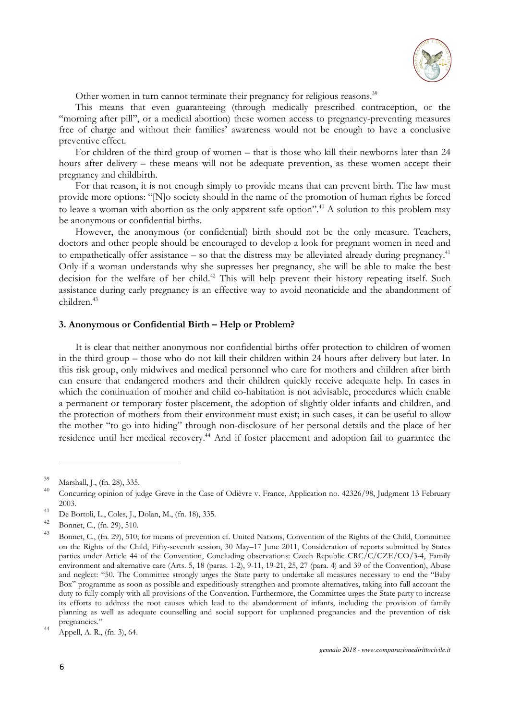

Other women in turn cannot terminate their pregnancy for religious reasons.<sup>39</sup>

This means that even guaranteeing (through medically prescribed contraception, or the "morning after pill", or a medical abortion) these women access to pregnancy-preventing measures free of charge and without their families' awareness would not be enough to have a conclusive preventive effect.

For children of the third group of women – that is those who kill their newborns later than 24 hours after delivery – these means will not be adequate prevention, as these women accept their pregnancy and childbirth.

For that reason, it is not enough simply to provide means that can prevent birth. The law must provide more options: "[N]o society should in the name of the promotion of human rights be forced to leave a woman with abortion as the only apparent safe option".<sup>40</sup> A solution to this problem may be anonymous or confidential births.

However, the anonymous (or confidential) birth should not be the only measure. Teachers, doctors and other people should be encouraged to develop a look for pregnant women in need and to empathetically offer assistance – so that the distress may be alleviated already during pregnancy.<sup>41</sup> Only if a woman understands why she supresses her pregnancy, she will be able to make the best decision for the welfare of her child.<sup>42</sup> This will help prevent their history repeating itself. Such assistance during early pregnancy is an effective way to avoid neonaticide and the abandonment of children.<sup>43</sup>

#### **3. Anonymous or Confidential Birth – Help or Problem?**

It is clear that neither anonymous nor confidential births offer protection to children of women in the third group – those who do not kill their children within 24 hours after delivery but later. In this risk group, only midwives and medical personnel who care for mothers and children after birth can ensure that endangered mothers and their children quickly receive adequate help. In cases in which the continuation of mother and child co-habitation is not advisable, procedures which enable a permanent or temporary foster placement, the adoption of slightly older infants and children, and the protection of mothers from their environment must exist; in such cases, it can be useful to allow the mother "to go into hiding" through non-disclosure of her personal details and the place of her residence until her medical recovery.<sup>44</sup> And if foster placement and adoption fail to guarantee the

 $39$  Marshall, J., (fn. 28), 335.

<sup>40</sup> Concurring opinion of judge Greve in the Case of Odièvre v. France, Application no. 42326/98, Judgment 13 February 2003.

<sup>&</sup>lt;sup>41</sup> De Bortoli, L., Coles, J., Dolan, M., (fn. 18), 335.

<sup>&</sup>lt;sup>42</sup> Bonnet, C., (fn. 29), 510.

<sup>43</sup>Bonnet, C., (fn. 29), 510; for means of prevention cf. United Nations, Convention of the Rights of the Child, Committee on the Rights of the Child, Fifty-seventh session, 30 May–17 June 2011, Consideration of reports submitted by States parties under Article 44 of the Convention, Concluding observations: Czech Republic CRC/C/CZE/CO/3-4, Family environment and alternative care (Arts. 5, 18 (paras. 1-2), 9-11, 19-21, 25, 27 (para. 4) and 39 of the Convention), Abuse and neglect: "50. The Committee strongly urges the State party to undertake all measures necessary to end the "Baby Box" programme as soon as possible and expeditiously strengthen and promote alternatives, taking into full account the duty to fully comply with all provisions of the Convention. Furthermore, the Committee urges the State party to increase its efforts to address the root causes which lead to the abandonment of infants, including the provision of family planning as well as adequate counselling and social support for unplanned pregnancies and the prevention of risk pregnancies."

 $^{44}$  Appell, A. R., (fn. 3), 64.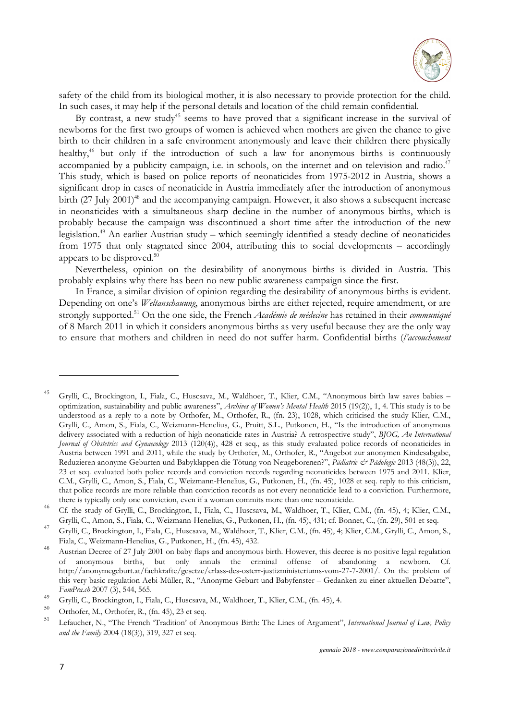

safety of the child from its biological mother, it is also necessary to provide protection for the child. In such cases, it may help if the personal details and location of the child remain confidential.

By contrast, a new study<sup>45</sup> seems to have proved that a significant increase in the survival of newborns for the first two groups of women is achieved when mothers are given the chance to give birth to their children in a safe environment anonymously and leave their children there physically healthy,<sup>46</sup> but only if the introduction of such a law for anonymous births is continuously accompanied by a publicity campaign, i.e. in schools, on the internet and on television and radio.<sup>47</sup> This study, which is based on police reports of neonaticides from 1975-2012 in Austria, shows a significant drop in cases of neonaticide in Austria immediately after the introduction of anonymous birth (27 July 2001)<sup>48</sup> and the accompanying campaign. However, it also shows a subsequent increase in neonaticides with a simultaneous sharp decline in the number of anonymous births, which is probably because the campaign was discontinued a short time after the introduction of the new legislation.<sup>49</sup> An earlier Austrian study – which seemingly identified a steady decline of neonaticides from 1975 that only stagnated since 2004, attributing this to social developments – accordingly appears to be disproved.<sup>50</sup>

Nevertheless, opinion on the desirability of anonymous births is divided in Austria. This probably explains why there has been no new public awareness campaign since the first.

In France, a similar division of opinion regarding the desirability of anonymous births is evident. Depending on one's *Weltanschauung*, anonymous births are either rejected, require amendment, or are strongly supported.<sup>51</sup> On the one side, the French *Académie de médecine* has retained in their *communiqué* of 8 March 2011 in which it considers anonymous births as very useful because they are the only way to ensure that mothers and children in need do not suffer harm. Confidential births (*l'accouchement* 

<sup>&</sup>lt;sup>45</sup> Grylli, C., Brockington, I., Fiala, C., Huscsava, M., Waldhoer, T., Klier, C.M., "Anonymous birth law saves babies – optimization, sustainability and public awareness", *Archives of Women's Mental Health* 2015 (19(2)), 1, 4. This study is to be understood as a reply to a note by Orthofer, M., Orthofer, R., (fn. 23), 1028, which criticised the study Klier, C.M., Grylli, C., Amon, S., Fiala, C., Weizmann-Henelius, G., Pruitt, S.L., Putkonen, H., "Is the introduction of anonymous delivery associated with a reduction of high neonaticide rates in Austria? A retrospective study", *BJOG, An International Journal of Obstetrics and Gynaecology* 2013 (120(4)), 428 et seq., as this study evaluated police records of neonaticides in Austria between 1991 and 2011, while the study by Orthofer, M., Orthofer, R., "Angebot zur anonymen Kindesabgabe, Reduzieren anonyme Geburten und Babyklappen die Tötung von Neugeborenen?", *Pädiatrie & Pädologie* 2013 (48(3)), 22, 23 et seq. evaluated both police records and conviction records regarding neonaticides between 1975 and 2011. Klier, C.M., Grylli, C., Amon, S., Fiala, C., Weizmann-Henelius, G., Putkonen, H., (fn. 45), 1028 et seq. reply to this criticism, that police records are more reliable than conviction records as not every neonaticide lead to a conviction. Furthermore, there is typically only one conviction, even if a woman commits more than one neonaticide.

<sup>&</sup>lt;sup>46</sup> Cf. the study of Grylli, C., Brockington, I., Fiala, C., Huscsava, M., Waldhoer, T., Klier, C.M., (fn. 45), 4; Klier, C.M., Grylli, C., Amon, S., Fiala, C., Weizmann-Henelius, G., Putkonen, H., (fn. 45), 431; cf. Bonnet, C., (fn. 29), 501 et seq.

<sup>47</sup>Grylli, C., Brockington, I., Fiala, C., Huscsava, M., Waldhoer, T., Klier, C.M., (fn. 45), 4; Klier, C.M., Grylli, C., Amon, S., Fiala, C., Weizmann-Henelius, G., Putkonen, H., (fn. 45), 432.

<sup>48</sup> Austrian Decree of 27 July 2001 on baby flaps and anonymous birth. However, this decree is no positive legal regulation of anonymous births, but only annuls the criminal offense of abandoning a newborn. Cf. http://anonymegeburt.at/fachkrafte/gesetze/erlass-des-osterr-justizministeriums-vom-27-7-2001/. On the problem of this very basic regulation Aebi-Müller, R., "Anonyme Geburt und Babyfenster – Gedanken zu einer aktuellen Debatte", *FamPra.ch* 2007 (3), 544, 565.

<sup>&</sup>lt;sup>49</sup> Grylli, C., Brockington, I., Fiala, C., Huscsava, M., Waldhoer, T., Klier, C.M., (fn. 45), 4.

 $^{50}$  Orthofer, M., Orthofer, R., (fn. 45), 23 et seq.

<sup>51</sup>Lefaucher, N., "The French 'Tradition' of Anonymous Birth: The Lines of Argument", *International Journal of Law, Policy and the Family* 2004 (18(3)), 319, 327 et seq.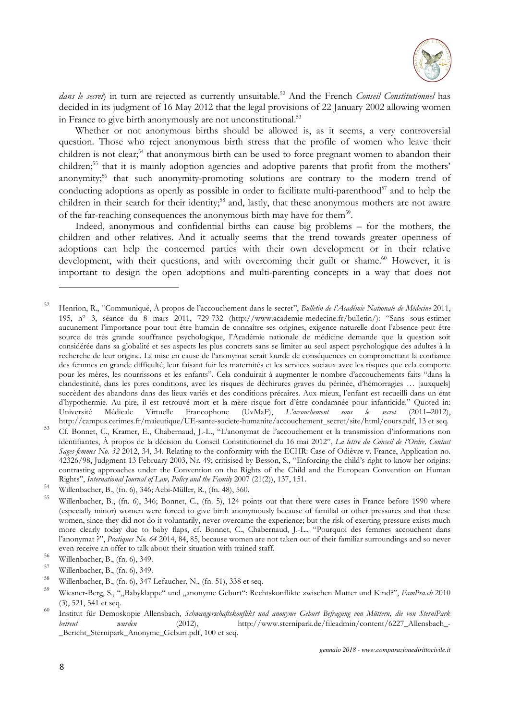

*dans le secret*) in turn are rejected as currently unsuitable.<sup>52</sup> And the French *Conseil Constitutionnel* has decided in its judgment of 16 May 2012 that the legal provisions of 22 January 2002 allowing women in France to give birth anonymously are not unconstitutional.<sup>53</sup>

Whether or not anonymous births should be allowed is, as it seems, a very controversial question. Those who reject anonymous birth stress that the profile of women who leave their children is not clear;<sup>54</sup> that anonymous birth can be used to force pregnant women to abandon their children;<sup>55</sup> that it is mainly adoption agencies and adoptive parents that profit from the mothers' anonymity;<sup>56</sup> that such anonymity-promoting solutions are contrary to the modern trend of conducting adoptions as openly as possible in order to facilitate multi-parenthood<sup>57</sup> and to help the children in their search for their identity;<sup>58</sup> and, lastly, that these anonymous mothers are not aware of the far-reaching consequences the anonymous birth may have for them<sup>59</sup>.

Indeed, anonymous and confidential births can cause big problems – for the mothers, the children and other relatives. And it actually seems that the trend towards greater openness of adoptions can help the concerned parties with their own development or in their relative development, with their questions, and with overcoming their guilt or shame.<sup>60</sup> However, it is important to design the open adoptions and multi-parenting concepts in a way that does not

<sup>52</sup>Henrion, R., "Communiqué, À propos de l'accouchement dans le secret", *Bulletin de l'Académie Nationale de Médecine* 2011, 195, n° 3, séance du 8 mars 2011, 729-732 (http://www.academie-medecine.fr/bulletin/): "Sans sous-estimer aucunement l'importance pour tout être humain de connaître ses origines, exigence naturelle dont l'absence peut être source de très grande souffrance psychologique, l'Académie nationale de médicine demande que la question soit considérée dans sa globalité et ses aspects les plus concrets sans se limiter au seul aspect psychologique des adultes à la recherche de leur origine. La mise en cause de l'anonymat serait lourde de conséquences en compromettant la confiance des femmes en grande difficulté, leur faisant fuir les maternités et les services sociaux avec les risques que cela comporte pour les mères, les nourrissons et les enfants". Cela conduirait à augmenter le nombre d'accouchements faits "dans la clandestinité, dans les pires conditions, avec les risques de déchirures graves du périnée, d'hémorragies … [auxquels] succèdent des abandons dans des lieux variés et des conditions précaires. Aux mieux, l'enfant est recueilli dans un état d'hypothermie. Au pire, il est retrouvé mort et la mère risque fort d'être condamnée pour infanticide." Quoted in: Université Médicale Virtuelle Francophone (UvMaF), *L'accouchement sous le secret* (2011–2012), http://campus.cerimes.fr/maieutique/UE-sante-societe-humanite/accouchement\_secret/site/html/cours.pdf, 13 et seq.

<sup>53</sup>Cf. Bonnet, C., Kramer, E., Chabernaud, J.-L., "L'anonymat de l'accouchement et la transmission d'informations non identifiantes, À propos de la décision du Conseil Constitutionnel du 16 mai 2012", *La lettre du Conseil de l'Ordre, Contact Sages-femmes No. 32* 2012, 34, 34. Relating to the conformity with the ECHR: Case of Odièvre v. France, Application no. 42326/98, Judgment 13 February 2003, Nr. 49; critisised by Besson, S., "Enforcing the child's right to know her origins: contrasting approaches under the Convention on the Rights of the Child and the European Convention on Human Rights", *International Journal of Law, Policy and the Family* 2007 (21(2)), 137, 151.

<sup>&</sup>lt;sup>54</sup> Willenbacher, B., (fn. 6), 346; Aebi-Müller, R., (fn. 48), 560.

Willenbacher, B., (fn. 6), 346; Bonnet, C., (fn. 5), 124 points out that there were cases in France before 1990 where (especially minor) women were forced to give birth anonymously because of familial or other pressures and that these women, since they did not do it voluntarily, never overcame the experience; but the risk of exerting pressure exists much more clearly today due to baby flaps, cf. Bonnet, C., Chabernaud, J.-L., "Pourquoi des femmes accouchent dans l'anonymat ?", *Pratiques No. 64* 2014, 84, 85, because women are not taken out of their familiar surroundings and so never even receive an offer to talk about their situation with trained staff.

 $^{56}$  Willenbacher, B., (fn. 6), 349.

 $^{57}$  Willenbacher, B., (fn. 6), 349.

<sup>&</sup>lt;sup>58</sup> Willenbacher, B., (fn. 6), 347 Lefaucher, N., (fn. 51), 338 et seq.

<sup>59</sup>Wiesner-Berg, S., ""Babyklappe" und "anonyme Geburt": Rechtskonflikte zwischen Mutter und Kind?", *FamPra.ch* 2010 (3), 521, 541 et seq.

<sup>60</sup>Institut für Demoskopie Allensbach, *Schwangerschaftskonflikt und anonyme Geburt Befragung von Müttern, die von SterniPark betreut wurden* (2012), http://www.sternipark.de/fileadmin/content/6227 Allensbach -\_Bericht\_Sternipark\_Anonyme\_Geburt.pdf, 100 et seq.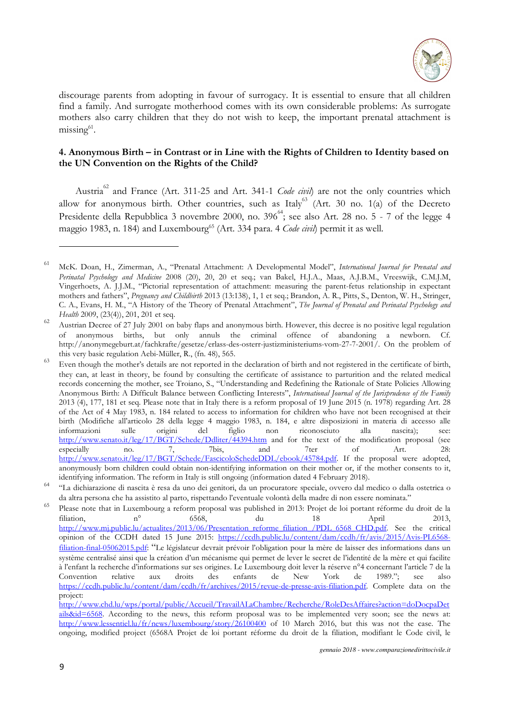

discourage parents from adopting in favour of surrogacy. It is essential to ensure that all children find a family. And surrogate motherhood comes with its own considerable problems: As surrogate mothers also carry children that they do not wish to keep, the important prenatal attachment is missing<sup>61</sup>.

## **4. Anonymous Birth – in Contrast or in Line with the Rights of Children to Identity based on the UN Convention on the Rights of the Child?**

Austria<sup>62</sup> and France (Art. 311-25 and Art. 341-1 *Code civil*) are not the only countries which allow for anonymous birth. Other countries, such as Italy<sup>63</sup> (Art. 30 no. 1(a) of the Decreto Presidente della Repubblica 3 novembre 2000, no.  $396^{64}$ ; see also Art. 28 no. 5 - 7 of the legge 4 maggio 1983, n. 184) and Luxembourg<sup>65</sup> (Art. 334 para. 4 *Code civil*) permit it as well.

<sup>61</sup> McK. Doan, H., Zimerman, A., "Prenatal Attachment: A Developmental Model", *International Journal for Prenatal and Perinatal Psychology and Medicine* 2008 (20), 20, 20 et seq.; van Bakel, H.J.A., Maas, A.J.B.M., Vreeswijk, C.M.J.M, Vingerhoets, A. J.J.M., "Pictorial representation of attachment: measuring the parent-fetus relationship in expectant mothers and fathers", *Pregnancy and Childbirth* 2013 (13:138), 1, 1 et seq.; Brandon, A. R., Pitts, S., Denton, W. H., Stringer, C. A., Evans, H. M., "A History of the Theory of Prenatal Attachment", *The Journal of Prenatal and Perinatal Psychology and Health* 2009, (23(4)), 201, 201 et seq.

<sup>62</sup>Austrian Decree of 27 July 2001 on baby flaps and anonymous birth. However, this decree is no positive legal regulation of anonymous births, but only annuls the criminal offence of abandoning a newborn. Cf. http://anonymegeburt.at/fachkrafte/gesetze/erlass-des-osterr-justizministeriums-vom-27-7-2001/. On the problem of this very basic regulation Aebi-Müller, R., (fn. 48), 565.

<sup>&</sup>lt;sup>63</sup> Even though the mother's details are not reported in the declaration of birth and not registered in the certificate of birth, they can, at least in theory, be found by consulting the certificate of assistance to parturition and the related medical records concerning the mother, see Troiano, S., "Understanding and Redefining the Rationale of State Policies Allowing Anonymous Birth: A Difficult Balance between Conflicting Interests", *International Journal of the Jurisprudence of the Family* 2013 (4), 177, 181 et seq. Please note that in Italy there is a reform proposal of 19 June 2015 (n. 1978) regarding Art. 28 of the Act of 4 May 1983, n. 184 related to access to information for children who have not been recognised at their birth (Modifiche all'articolo 28 della legge 4 maggio 1983, n. 184, e altre disposizioni in materia di accesso alle informazioni sulle origini del figlio non riconosciuto alla nascita); see: http://www.senato.it/leg/17/BGT/Schede/Ddliter/44394.htm and for the text of the modification proposal (see<br>especially no. 7, 7bis, and 7ter of Art. 28: especially no. 7, 7bis, and 7ter of Art. 28: http://www.senato.it/leg/17/BGT/Schede/FascicoloSchedeDDL/ebook/45784.pdf. If the proposal were adopted, anonymously born children could obtain non-identifying information on their mother or, if the mother consents to it, identifying information. The reform in Italy is still ongoing (information dated 4 February 2018).

<sup>64</sup>"La dichiarazione di nascita è resa da uno dei genitori, da un procuratore speciale, ovvero dal medico o dalla ostetrica o da altra persona che ha assistito al parto, rispettando l'eventuale volontà della madre di non essere nominata."

<sup>65</sup> Please note that in Luxembourg a reform proposal was published in 2013: Projet de loi portant réforme du droit de la filiation, n° 6568, du 18 April 2013, http://www.mj.public.lu/actualites/2013/06/Presentation\_reforme\_filiation\_/PDL\_6568\_CHD.pdf. See the critical opinion of the CCDH dated 15 June 2015: https://ccdh.public.lu/content/dam/ccdh/fr/avis/2015/Avis-PL6568 filiation-final-05062015.pdf: "Le législateur devrait prévoir l'obligation pour la mère de laisser des informations dans un système centralisé ainsi que la création d'un mécanisme qui permet de lever le secret de l'identité de la mère et qui facilite à l'enfant la recherche d'informations sur ses origines. Le Luxembourg doit lever la réserve n°4 concernant l'article 7 de la Convention relative aux droits des enfants de New York de 1989."; see also https://ccdh.public.lu/content/dam/ccdh/fr/archives/2015/revue-de-presse-avis-filiation.pdf. Complete data on the project:

http://www.chd.lu/wps/portal/public/Accueil/TravailALaChambre/Recherche/RoleDesAffaires?action=doDocpaDet ails&id=6568. According to the news, this reform proposal was to be implemented very soon; see the news at: http://www.lessentiel.lu/fr/news/luxembourg/story/26100400 of 10 March 2016, but this was not the case. The ongoing, modified project (6568A Projet de loi portant réforme du droit de la filiation, modifiant le Code civil, le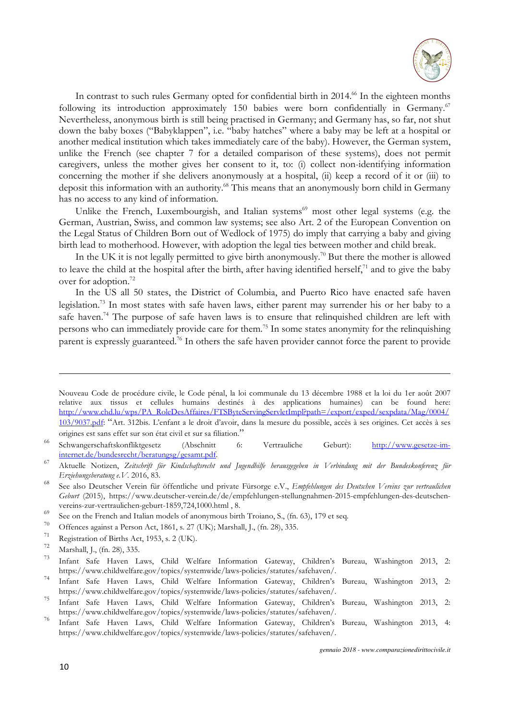

In contrast to such rules Germany opted for confidential birth in 2014.<sup>66</sup> In the eighteen months following its introduction approximately 150 babies were born confidentially in Germany.<sup>67</sup> Nevertheless, anonymous birth is still being practised in Germany; and Germany has, so far, not shut down the baby boxes ("Babyklappen", i.e. "baby hatches" where a baby may be left at a hospital or another medical institution which takes immediately care of the baby). However, the German system, unlike the French (see chapter 7 for a detailed comparison of these systems), does not permit caregivers, unless the mother gives her consent to it, to: (i) collect non-identifying information concerning the mother if she delivers anonymously at a hospital, (ii) keep a record of it or (iii) to deposit this information with an authority.<sup>68</sup> This means that an anonymously born child in Germany has no access to any kind of information.

Unlike the French, Luxembourgish, and Italian systems<sup>69</sup> most other legal systems (e.g. the German, Austrian, Swiss, and common law systems; see also Art. 2 of the European Convention on the Legal Status of Children Born out of Wedlock of 1975) do imply that carrying a baby and giving birth lead to motherhood. However, with adoption the legal ties between mother and child break.

In the UK it is not legally permitted to give birth anonymously.<sup>70</sup> But there the mother is allowed to leave the child at the hospital after the birth, after having identified herself, $71$  and to give the baby over for adoption.<sup>72</sup>

In the US all 50 states, the District of Columbia, and Puerto Rico have enacted safe haven legislation.<sup>73</sup> In most states with safe haven laws, either parent may surrender his or her baby to a safe haven.<sup>74</sup> The purpose of safe haven laws is to ensure that relinquished children are left with persons who can immediately provide care for them.<sup>75</sup> In some states anonymity for the relinquishing parent is expressly guaranteed.<sup>76</sup> In others the safe haven provider cannot force the parent to provide

Nouveau Code de procédure civile, le Code pénal, la loi communale du 13 décembre 1988 et la loi du 1er août 2007 relative aux tissus et cellules humains destinés à des applications humaines) can be found here: http://www.chd.lu/wps/PA\_RoleDesAffaires/FTSByteServingServletImpl?path=/export/exped/sexpdata/Mag/0004/ 103/9037.pdf: "Art. 312bis. L'enfant a le droit d'avoir, dans la mesure du possible, accès à ses origines. Cet accès à ses origines est sans effet sur son état civil et sur sa filiation."

<sup>&</sup>lt;sup>66</sup> Schwangerschaftskonfliktgesetz (Abschnitt 6: Vertrauliche Geburt): http://www.gesetze-iminternet.de/bundesrecht/beratungsg/gesamt.pdf.

<sup>67</sup>Aktuelle Notizen, *Zeitschrift für Kindschaftsrecht und Jugendhilfe herausgegeben in Verbindung mit der Bundeskonferenz für Erziehungsberatung e.V.* 2016, 83.

<sup>&</sup>lt;sup>68</sup> See also Deutscher Verein für öffentliche und private Fürsorge e.V., *Empfehlungen des Deutschen Vereins zur vertraulichen Geburt* (2015), https://www.deutscher-verein.de/de/empfehlungen-stellungnahmen-2015-empfehlungen-des-deutschenvereins-zur-vertraulichen-geburt-1859,724,1000.html , 8.

<sup>&</sup>lt;sup>69</sup> See on the French and Italian models of anonymous birth Troiano, S., (fn. 63), 179 et seq.

<sup>&</sup>lt;sup>70</sup> Offences against a Person Act, 1861, s. 27 (UK); Marshall, J., (fn. 28), 335.

 $^{71}$  Registration of Births Act, 1953, s. 2 (UK).

<sup>&</sup>lt;sup>12</sup> Marshall, J., (fn. 28), 335.

<sup>73</sup>Infant Safe Haven Laws, Child Welfare Information Gateway, Children's Bureau, Washington 2013, 2: https://www.childwelfare.gov/topics/systemwide/laws-policies/statutes/safehaven/.

<sup>74</sup>Infant Safe Haven Laws, Child Welfare Information Gateway, Children's Bureau, Washington 2013, 2: https://www.childwelfare.gov/topics/systemwide/laws-policies/statutes/safehaven/.

<sup>&</sup>lt;sup>75</sup> Infant Safe Haven Laws, Child Welfare Information Gateway, Children's Bureau, Washington 2013, 2: https://www.childwelfare.gov/topics/systemwide/laws-policies/statutes/safehaven/.

<sup>76</sup> Infant Safe Haven Laws, Child Welfare Information Gateway, Children's Bureau, Washington 2013, 4: https://www.childwelfare.gov/topics/systemwide/laws-policies/statutes/safehaven/.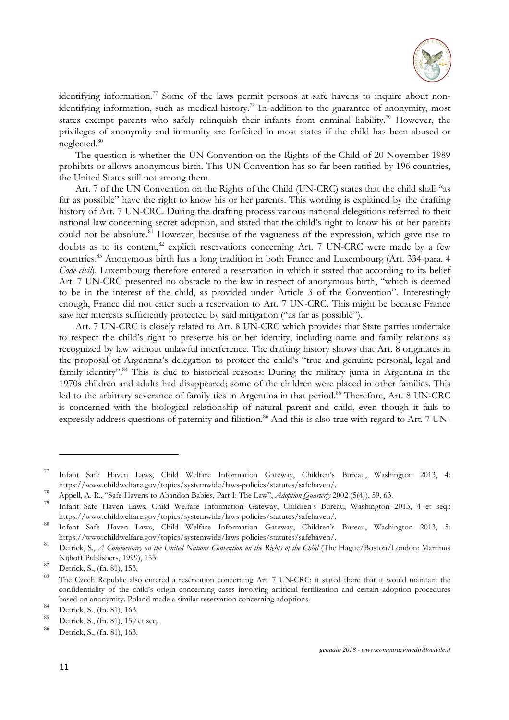

identifying information.<sup>77</sup> Some of the laws permit persons at safe havens to inquire about nonidentifying information, such as medical history.<sup>78</sup> In addition to the guarantee of anonymity, most states exempt parents who safely relinquish their infants from criminal liability.<sup>79</sup> However, the privileges of anonymity and immunity are forfeited in most states if the child has been abused or neglected.<sup>80</sup>

The question is whether the UN Convention on the Rights of the Child of 20 November 1989 prohibits or allows anonymous birth. This UN Convention has so far been ratified by 196 countries, the United States still not among them.

Art. 7 of the UN Convention on the Rights of the Child (UN-CRC) states that the child shall "as far as possible" have the right to know his or her parents. This wording is explained by the drafting history of Art. 7 UN-CRC. During the drafting process various national delegations referred to their national law concerning secret adoption, and stated that the child's right to know his or her parents could not be absolute.<sup>81</sup> However, because of the vagueness of the expression, which gave rise to doubts as to its content,<sup>82</sup> explicit reservations concerning Art. 7 UN-CRC were made by a few countries.<sup>83</sup> Anonymous birth has a long tradition in both France and Luxembourg (Art. 334 para. 4 *Code civil*). Luxembourg therefore entered a reservation in which it stated that according to its belief Art. 7 UN-CRC presented no obstacle to the law in respect of anonymous birth, "which is deemed to be in the interest of the child, as provided under Article 3 of the Convention". Interestingly enough, France did not enter such a reservation to Art. 7 UN-CRC. This might be because France saw her interests sufficiently protected by said mitigation ("as far as possible").

Art. 7 UN-CRC is closely related to Art. 8 UN-CRC which provides that State parties undertake to respect the child's right to preserve his or her identity, including name and family relations as recognized by law without unlawful interference. The drafting history shows that Art. 8 originates in the proposal of Argentina's delegation to protect the child's "true and genuine personal, legal and family identity".<sup>84</sup> This is due to historical reasons: During the military junta in Argentina in the 1970s children and adults had disappeared; some of the children were placed in other families. This led to the arbitrary severance of family ties in Argentina in that period.<sup>85</sup> Therefore, Art. 8 UN-CRC is concerned with the biological relationship of natural parent and child, even though it fails to expressly address questions of paternity and filiation.<sup>86</sup> And this is also true with regard to Art. 7 UN-

<sup>&</sup>lt;sup>77</sup> Infant Safe Haven Laws, Child Welfare Information Gateway, Children's Bureau, Washington 2013, 4: https://www.childwelfare.gov/topics/systemwide/laws-policies/statutes/safehaven/.

<sup>&</sup>lt;sup>78</sup> Appell, A. R., "Safe Havens to Abandon Babies, Part I: The Law", *Adoption Quarterly* 2002 (5(4)), 59, 63.

<sup>79</sup>Infant Safe Haven Laws, Child Welfare Information Gateway, Children's Bureau, Washington 2013, 4 et seq.: https://www.childwelfare.gov/topics/systemwide/laws-policies/statutes/safehaven/.

<sup>80</sup> Infant Safe Haven Laws, Child Welfare Information Gateway, Children's Bureau, Washington 2013, 5: https://www.childwelfare.gov/topics/systemwide/laws-policies/statutes/safehaven/.

<sup>&</sup>lt;sup>81</sup> Detrick, S., *A Commentary on the United Nations Convention on the Rights of the Child* (The Hague/Boston/London: Martinus Nijhoff Publishers, 1999), 153.

 $\frac{82}{83}$  Detrick, S., (fn. 81), 153.

The Czech Republic also entered a reservation concerning Art. 7 UN-CRC; it stated there that it would maintain the confidentiality of the child's origin concerning cases involving artificial fertilization and certain adoption procedures based on anonymity. Poland made a similar reservation concerning adoptions.

 $84$  Detrick, S., (fn. 81), 163.

 $^{85}$  Detrick, S., (fn. 81), 159 et seq.

Detrick, S., (fn. 81), 163.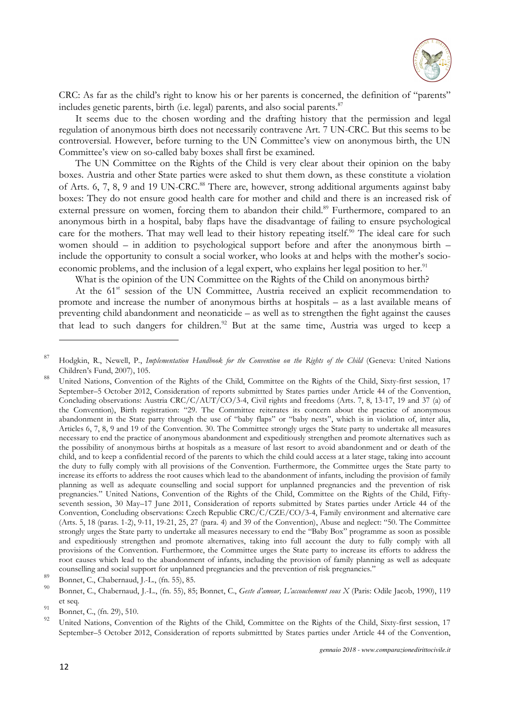

CRC: As far as the child's right to know his or her parents is concerned, the definition of "parents" includes genetic parents, birth (i.e. legal) parents, and also social parents.<sup>87</sup>

It seems due to the chosen wording and the drafting history that the permission and legal regulation of anonymous birth does not necessarily contravene Art. 7 UN-CRC. But this seems to be controversial. However, before turning to the UN Committee's view on anonymous birth, the UN Committee's view on so-called baby boxes shall first be examined.

The UN Committee on the Rights of the Child is very clear about their opinion on the baby boxes. Austria and other State parties were asked to shut them down, as these constitute a violation of Arts. 6, 7, 8, 9 and 19 UN-CRC.<sup>88</sup> There are, however, strong additional arguments against baby boxes: They do not ensure good health care for mother and child and there is an increased risk of external pressure on women, forcing them to abandon their child.<sup>89</sup> Furthermore, compared to an anonymous birth in a hospital, baby flaps have the disadvantage of failing to ensure psychological care for the mothers. That may well lead to their history repeating itself.<sup>90</sup> The ideal care for such women should – in addition to psychological support before and after the anonymous birth – include the opportunity to consult a social worker, who looks at and helps with the mother's socioeconomic problems, and the inclusion of a legal expert, who explains her legal position to her.<sup>91</sup>

What is the opinion of the UN Committee on the Rights of the Child on anonymous birth?

At the 61<sup>st</sup> session of the UN Committee, Austria received an explicit recommendation to promote and increase the number of anonymous births at hospitals – as a last available means of preventing child abandonment and neonaticide – as well as to strengthen the fight against the causes that lead to such dangers for children.<sup>92</sup> But at the same time, Austria was urged to keep a

89 Bonnet, C., Chabernaud, J.-L., (fn. 55), 85.

<sup>87</sup>Hodgkin, R., Newell, P., *Implementation Handbook for the Convention on the Rights of the Child* (Geneva: United Nations Children's Fund, 2007), 105.

United Nations, Convention of the Rights of the Child, Committee on the Rights of the Child, Sixty-first session, 17 September–5 October 2012, Consideration of reports submittted by States parties under Article 44 of the Convention, Concluding observations: Austria CRC/C/AUT/CO/3-4, Civil rights and freedoms (Arts. 7, 8, 13-17, 19 and 37 (a) of the Convention), Birth registration: "29. The Committee reiterates its concern about the practice of anonymous abandonment in the State party through the use of "baby flaps" or "baby nests", which is in violation of, inter alia, Articles 6, 7, 8, 9 and 19 of the Convention. 30. The Committee strongly urges the State party to undertake all measures necessary to end the practice of anonymous abandonment and expeditiously strengthen and promote alternatives such as the possibility of anonymous births at hospitals as a measure of last resort to avoid abandonment and or death of the child, and to keep a confidential record of the parents to which the child could access at a later stage, taking into account the duty to fully comply with all provisions of the Convention. Furthermore, the Committee urges the State party to increase its efforts to address the root causes which lead to the abandonment of infants, including the provision of family planning as well as adequate counselling and social support for unplanned pregnancies and the prevention of risk pregnancies." United Nations, Convention of the Rights of the Child, Committee on the Rights of the Child, Fiftyseventh session, 30 May–17 June 2011, Consideration of reports submitted by States parties under Article 44 of the Convention, Concluding observations: Czech Republic CRC/C/CZE/CO/3-4, Family environment and alternative care (Arts. 5, 18 (paras. 1-2), 9-11, 19-21, 25, 27 (para. 4) and 39 of the Convention), Abuse and neglect: "50. The Committee strongly urges the State party to undertake all measures necessary to end the "Baby Box" programme as soon as possible and expeditiously strengthen and promote alternatives, taking into full account the duty to fully comply with all provisions of the Convention. Furthermore, the Committee urges the State party to increase its efforts to address the root causes which lead to the abandonment of infants, including the provision of family planning as well as adequate counselling and social support for unplanned pregnancies and the prevention of risk pregnancies."

<sup>90</sup>Bonnet, C., Chabernaud, J.-L., (fn. 55), 85; Bonnet, C., *Geste d'amour, L'accouchement sous X* (Paris: Odile Jacob, 1990), 119 et seq.

<sup>&</sup>lt;sup>91</sup> Bonnet, C., (fn. 29), 510.

United Nations, Convention of the Rights of the Child, Committee on the Rights of the Child, Sixty-first session, 17 September–5 October 2012, Consideration of reports submittted by States parties under Article 44 of the Convention,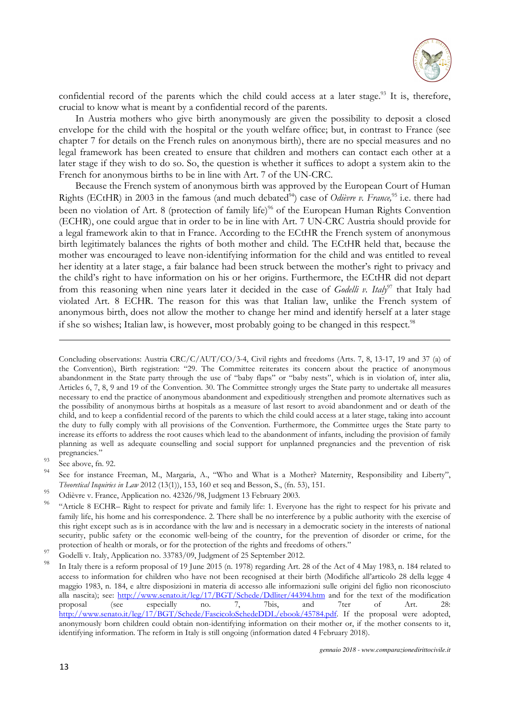

confidential record of the parents which the child could access at a later stage.<sup>93</sup> It is, therefore, crucial to know what is meant by a confidential record of the parents.

In Austria mothers who give birth anonymously are given the possibility to deposit a closed envelope for the child with the hospital or the youth welfare office; but, in contrast to France (see chapter 7 for details on the French rules on anonymous birth), there are no special measures and no legal framework has been created to ensure that children and mothers can contact each other at a later stage if they wish to do so. So, the question is whether it suffices to adopt a system akin to the French for anonymous births to be in line with Art. 7 of the UN-CRC.

Because the French system of anonymous birth was approved by the European Court of Human Rights (ECtHR) in 2003 in the famous (and much debated <sup>94</sup>) case of *Odièvre v. France,*<sup>95</sup> i.e. there had been no violation of Art. 8 (protection of family life)<sup>96</sup> of the European Human Rights Convention (ECHR), one could argue that in order to be in line with Art. 7 UN-CRC Austria should provide for a legal framework akin to that in France. According to the ECtHR the French system of anonymous birth legitimately balances the rights of both mother and child. The ECtHR held that, because the mother was encouraged to leave non-identifying information for the child and was entitled to reveal her identity at a later stage, a fair balance had been struck between the mother's right to privacy and the child's right to have information on his or her origins. Furthermore, the ECtHR did not depart from this reasoning when nine years later it decided in the case of *Godelli v. Italy*<sup>97</sup> that Italy had violated Art. 8 ECHR. The reason for this was that Italian law, unlike the French system of anonymous birth, does not allow the mother to change her mind and identify herself at a later stage if she so wishes; Italian law, is however, most probably going to be changed in this respect.<sup>98</sup>

Concluding observations: Austria CRC/C/AUT/CO/3-4, Civil rights and freedoms (Arts. 7, 8, 13-17, 19 and 37 (a) of the Convention), Birth registration: "29. The Committee reiterates its concern about the practice of anonymous abandonment in the State party through the use of "baby flaps" or "baby nests", which is in violation of, inter alia, Articles 6, 7, 8, 9 and 19 of the Convention. 30. The Committee strongly urges the State party to undertake all measures necessary to end the practice of anonymous abandonment and expeditiously strengthen and promote alternatives such as the possibility of anonymous births at hospitals as a measure of last resort to avoid abandonment and or death of the child, and to keep a confidential record of the parents to which the child could access at a later stage, taking into account the duty to fully comply with all provisions of the Convention. Furthermore, the Committee urges the State party to increase its efforts to address the root causes which lead to the abandonment of infants, including the provision of family planning as well as adequate counselling and social support for unplanned pregnancies and the prevention of risk pregnancies."

 $\frac{93}{94}$  See above, fn. 92.

See for instance Freeman, M., Margaria, A., "Who and What is a Mother? Maternity, Responsibility and Liberty", *Theoretical Inquiries in Law* 2012 (13(1)), 153, 160 et seq and Besson, S., (fn. 53), 151.

<sup>95</sup> Odièvre v. France, Application no. 42326/98, Judgment 13 February 2003.

<sup>96</sup>"Article 8 ECHR– Right to respect for private and family life: 1. Everyone has the right to respect for his private and family life, his home and his correspondence. 2. There shall be no interference by a public authority with the exercise of this right except such as is in accordance with the law and is necessary in a democratic society in the interests of national security, public safety or the economic well-being of the country, for the prevention of disorder or crime, for the protection of health or morals, or for the protection of the rights and freedoms of others."

<sup>&</sup>lt;sup>97</sup> Godelli v. Italy, Application no. 33783/09, Judgment of 25 September 2012.

<sup>&</sup>lt;sup>98</sup>In Italy there is a reform proposal of 19 June 2015 (n. 1978) regarding Art. 28 of the Act of 4 May 1983, n. 184 related to access to information for children who have not been recognised at their birth (Modifiche all'articolo 28 della legge 4 maggio 1983, n. 184, e altre disposizioni in materia di accesso alle informazioni sulle origini del figlio non riconosciuto alla nascita); see: http://www.senato.it/leg/17/BGT/Schede/Ddliter/44394.htm and for the text of the modification proposal (see especially no. 7, 7bis, and 7ter of Art. 28: http://www.senato.it/leg/17/BGT/Schede/FascicoloSchedeDDL/ebook/45784.pdf. If the proposal were adopted, anonymously born children could obtain non-identifying information on their mother or, if the mother consents to it, identifying information. The reform in Italy is still ongoing (information dated 4 February 2018).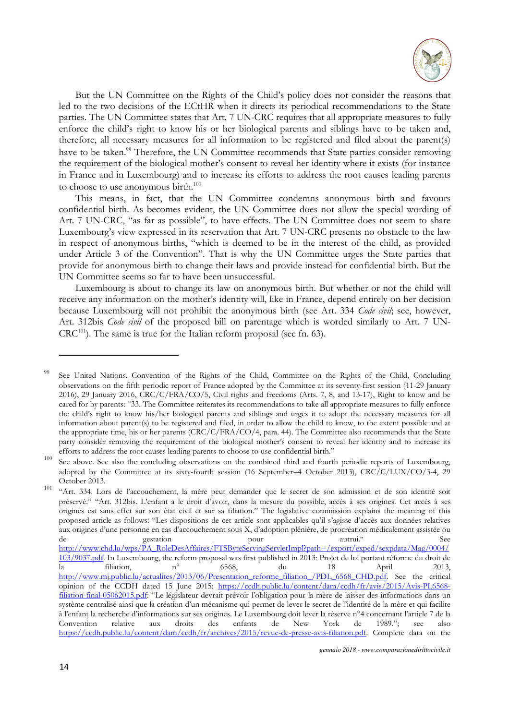

But the UN Committee on the Rights of the Child's policy does not consider the reasons that led to the two decisions of the ECtHR when it directs its periodical recommendations to the State parties. The UN Committee states that Art. 7 UN-CRC requires that all appropriate measures to fully enforce the child's right to know his or her biological parents and siblings have to be taken and, therefore, all necessary measures for all information to be registered and filed about the parent(s) have to be taken.<sup>99</sup> Therefore, the UN Committee recommends that State parties consider removing the requirement of the biological mother's consent to reveal her identity where it exists (for instance in France and in Luxembourg) and to increase its efforts to address the root causes leading parents to choose to use anonymous birth.<sup>100</sup>

This means, in fact, that the UN Committee condemns anonymous birth and favours confidential birth. As becomes evident, the UN Committee does not allow the special wording of Art. 7 UN-CRC, "as far as possible", to have effects. The UN Committee does not seem to share Luxembourg's view expressed in its reservation that Art. 7 UN-CRC presents no obstacle to the law in respect of anonymous births, "which is deemed to be in the interest of the child, as provided under Article 3 of the Convention". That is why the UN Committee urges the State parties that provide for anonymous birth to change their laws and provide instead for confidential birth. But the UN Committee seems so far to have been unsuccessful.

Luxembourg is about to change its law on anonymous birth. But whether or not the child will receive any information on the mother's identity will, like in France, depend entirely on her decision because Luxembourg will not prohibit the anonymous birth (see Art. 334 *Code civil*; see, however, Art. 312bis *Code civil* of the proposed bill on parentage which is worded similarly to Art. 7 UN- $CRC^{101}$ ). The same is true for the Italian reform proposal (see fn. 63).

See United Nations, Convention of the Rights of the Child, Committee on the Rights of the Child, Concluding observations on the fifth periodic report of France adopted by the Committee at its seventy-first session (11-29 January 2016), 29 January 2016, CRC/C/FRA/CO/5, Civil rights and freedoms (Arts. 7, 8, and 13-17), Right to know and be cared for by parents: "33. The Committee reiterates its recommendations to take all appropriate measures to fully enforce the child's right to know his/her biological parents and siblings and urges it to adopt the necessary measures for all information about parent(s) to be registered and filed, in order to allow the child to know, to the extent possible and at the appropriate time, his or her parents (CRC/C/FRA/CO/4, para. 44). The Committee also recommends that the State party consider removing the requirement of the biological mother's consent to reveal her identity and to increase its efforts to address the root causes leading parents to choose to use confidential birth."

 $100$  See above. See also the concluding observations on the combined third and fourth periodic reports of Luxembourg, adopted by the Committee at its sixty-fourth session (16 September–4 October 2013), CRC/C/LUX/CO/3-4, 29 October 2013.

<sup>&</sup>lt;sup>101</sup> "Art. 334. Lors de l'accouchement, la mère peut demander que le secret de son admission et de son identité soit préservé." "Art. 312bis. L'enfant a le droit d'avoir, dans la mesure du possible, accès à ses origines. Cet accès à ses origines est sans effet sur son état civil et sur sa filiation." The legislative commission explains the meaning of this proposed article as follows: "Les dispositions de cet article sont applicables qu'il s'agisse d'accès aux données relatives aux origines d'une personne en cas d'accouchement sous X, d'adoption plénière, de procréation médicalement assistée ou de gestation pour autrui." See http://www.chd.lu/wps/PA\_RoleDesAffaires/FTSByteServingServletImpl?path=/export/exped/sexpdata/Mag/0004/ 103/9037.pdf. In Luxembourg, the reform proposal was first published in 2013: Projet de loi portant réforme du droit de la filiation, n° 6568, du 18 April 2013, http://www.mj.public.lu/actualites/2013/06/Presentation\_reforme\_filiation\_/PDL\_6568\_CHD.pdf. See the critical opinion of the CCDH dated 15 June 2015: https://ccdh.public.lu/content/dam/ccdh/fr/avis/2015/Avis-PL6568 filiation-final-05062015.pdf: "Le législateur devrait prévoir l'obligation pour la mère de laisser des informations dans un système centralisé ainsi que la création d'un mécanisme qui permet de lever le secret de l'identité de la mère et qui facilite à l'enfant la recherche d'informations sur ses origines. Le Luxembourg doit lever la réserve n°4 concernant l'article 7 de la Convention relative aux droits des enfants de New York de 1989."; see also https://ccdh.public.lu/content/dam/ccdh/fr/archives/2015/revue-de-presse-avis-filiation.pdf. Complete data on the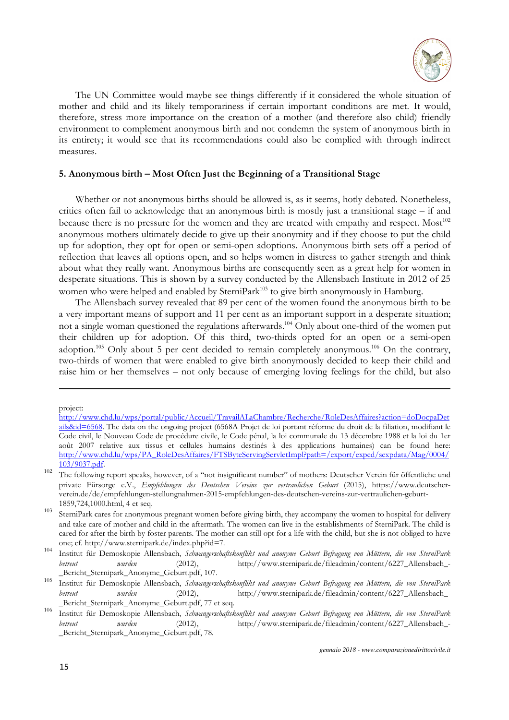

The UN Committee would maybe see things differently if it considered the whole situation of mother and child and its likely temporariness if certain important conditions are met. It would, therefore, stress more importance on the creation of a mother (and therefore also child) friendly environment to complement anonymous birth and not condemn the system of anonymous birth in its entirety; it would see that its recommendations could also be complied with through indirect measures.

#### **5. Anonymous birth – Most Often Just the Beginning of a Transitional Stage**

Whether or not anonymous births should be allowed is, as it seems, hotly debated. Nonetheless, critics often fail to acknowledge that an anonymous birth is mostly just a transitional stage – if and because there is no pressure for the women and they are treated with empathy and respect. Most  $102$ anonymous mothers ultimately decide to give up their anonymity and if they choose to put the child up for adoption, they opt for open or semi-open adoptions. Anonymous birth sets off a period of reflection that leaves all options open, and so helps women in distress to gather strength and think about what they really want. Anonymous births are consequently seen as a great help for women in desperate situations. This is shown by a survey conducted by the Allensbach Institute in 2012 of 25 women who were helped and enabled by SterniPark<sup>103</sup> to give birth anonymously in Hamburg.

The Allensbach survey revealed that 89 per cent of the women found the anonymous birth to be a very important means of support and 11 per cent as an important support in a desperate situation; not a single woman questioned the regulations afterwards.<sup>104</sup> Only about one-third of the women put their children up for adoption. Of this third, two-thirds opted for an open or a semi-open adoption.<sup>105</sup> Only about 5 per cent decided to remain completely anonymous.<sup>106</sup> On the contrary, two-thirds of women that were enabled to give birth anonymously decided to keep their child and raise him or her themselves – not only because of emerging loving feelings for the child, but also

project:

http://www.chd.lu/wps/portal/public/Accueil/TravailALaChambre/Recherche/RoleDesAffaires?action=doDocpaDet ails&id=6568. The data on the ongoing project (6568A Projet de loi portant réforme du droit de la filiation, modifiant le Code civil, le Nouveau Code de procédure civile, le Code pénal, la loi communale du 13 décembre 1988 et la loi du 1er août 2007 relative aux tissus et cellules humains destinés à des applications humaines) can be found here: http://www.chd.lu/wps/PA\_RoleDesAffaires/FTSByteServingServletImpl?path=/export/exped/sexpdata/Mag/0004/ 103/9037.pdf.

<sup>&</sup>lt;sup>102</sup>The following report speaks, however, of a "not insignificant number" of mothers: Deutscher Verein für öffentliche und private Fürsorge e.V., *Empfehlungen des Deutschen Vereins zur vertraulichen Geburt* (2015), https://www.deutscherverein.de/de/empfehlungen-stellungnahmen-2015-empfehlungen-des-deutschen-vereins-zur-vertraulichen-geburt-1859,724,1000.html, 4 et seq.

<sup>103</sup> SterniPark cares for anonymous pregnant women before giving birth, they accompany the women to hospital for delivery and take care of mother and child in the aftermath. The women can live in the establishments of SterniPark. The child is cared for after the birth by foster parents. The mother can still opt for a life with the child, but she is not obliged to have one; cf. http://www.sternipark.de/index.php?id=7.

<sup>104</sup> Institut für Demoskopie Allensbach, *Schwangerschaftskonflikt und anonyme Geburt Befragung von Müttern, die von SterniPark betreut wurden* (2012), http://www.sternipark.de/fileadmin/content/6227\_Allensbach\_- \_Bericht\_Sternipark\_Anonyme\_Geburt.pdf, 107.

<sup>105</sup> Institut für Demoskopie Allensbach, *Schwangerschaftskonflikt und anonyme Geburt Befragung von Müttern, die von SterniPark betreut wurden* (2012), http://www.sternipark.de/fileadmin/content/6227\_Allensbach\_- \_Bericht\_Sternipark\_Anonyme\_Geburt.pdf, 77 et seq.

<sup>106</sup> Institut für Demoskopie Allensbach, *Schwangerschaftskonflikt und anonyme Geburt Befragung von Müttern, die von SterniPark betreut wurden* (2012), http://www.sternipark.de/fileadmin/content/6227 Allensbach-\_Bericht\_Sternipark\_Anonyme\_Geburt.pdf, 78.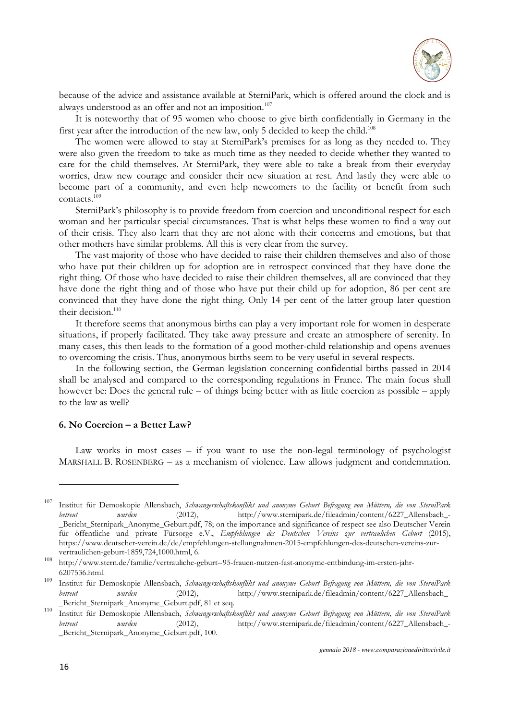

because of the advice and assistance available at SterniPark, which is offered around the clock and is always understood as an offer and not an imposition.<sup>107</sup>

It is noteworthy that of 95 women who choose to give birth confidentially in Germany in the first year after the introduction of the new law, only 5 decided to keep the child.<sup>108</sup>

The women were allowed to stay at SterniPark's premises for as long as they needed to. They were also given the freedom to take as much time as they needed to decide whether they wanted to care for the child themselves. At SterniPark, they were able to take a break from their everyday worries, draw new courage and consider their new situation at rest. And lastly they were able to become part of a community, and even help newcomers to the facility or benefit from such contacts.<sup>109</sup>

SterniPark's philosophy is to provide freedom from coercion and unconditional respect for each woman and her particular special circumstances. That is what helps these women to find a way out of their crisis. They also learn that they are not alone with their concerns and emotions, but that other mothers have similar problems. All this is very clear from the survey.

The vast majority of those who have decided to raise their children themselves and also of those who have put their children up for adoption are in retrospect convinced that they have done the right thing. Of those who have decided to raise their children themselves, all are convinced that they have done the right thing and of those who have put their child up for adoption, 86 per cent are convinced that they have done the right thing. Only 14 per cent of the latter group later question their decision.<sup>110</sup>

It therefore seems that anonymous births can play a very important role for women in desperate situations, if properly facilitated. They take away pressure and create an atmosphere of serenity. In many cases, this then leads to the formation of a good mother-child relationship and opens avenues to overcoming the crisis. Thus, anonymous births seem to be very useful in several respects.

In the following section, the German legislation concerning confidential births passed in 2014 shall be analysed and compared to the corresponding regulations in France. The main focus shall however be: Does the general rule – of things being better with as little coercion as possible – apply to the law as well?

#### **6. No Coercion – a Better Law?**

Law works in most cases  $-$  if you want to use the non-legal terminology of psychologist MARSHALL B. ROSENBERG – as a mechanism of violence. Law allows judgment and condemnation.

<sup>&</sup>lt;sup>107</sup> Institut für Demoskopie Allensbach, *Schwangerschaftskonflikt und anonyme Geburt Befragung von Müttern, die von SterniPark betreut wurden* (2012), http://www.sternipark.de/fileadmin/content/6227\_Allensbach\_- \_Bericht\_Sternipark\_Anonyme\_Geburt.pdf, 78; on the importance and significance of respect see also Deutscher Verein für öffentliche und private Fürsorge e.V., *Empfehlungen des Deutschen Vereins zur vertraulichen Geburt* (2015), https://www.deutscher-verein.de/de/empfehlungen-stellungnahmen-2015-empfehlungen-des-deutschen-vereins-zurvertraulichen-geburt-1859,724,1000.html, 6.

<sup>108</sup>http://www.stern.de/familie/vertrauliche-geburt--95-frauen-nutzen-fast-anonyme-entbindung-im-ersten-jahr-6207536.html.

<sup>109</sup> Institut für Demoskopie Allensbach, *Schwangerschaftskonflikt und anonyme Geburt Befragung von Müttern, die von SterniPark betreut wurden* (2012), http://www.sternipark.de/fileadmin/content/6227\_Allensbach\_- \_Bericht\_Sternipark\_Anonyme\_Geburt.pdf, 81 et seq.

<sup>110</sup>Institut für Demoskopie Allensbach, *Schwangerschaftskonflikt und anonyme Geburt Befragung von Müttern, die von SterniPark betreut wurden* (2012), http://www.sternipark.de/fileadmin/content/6227 Allensbach-\_Bericht\_Sternipark\_Anonyme\_Geburt.pdf, 100.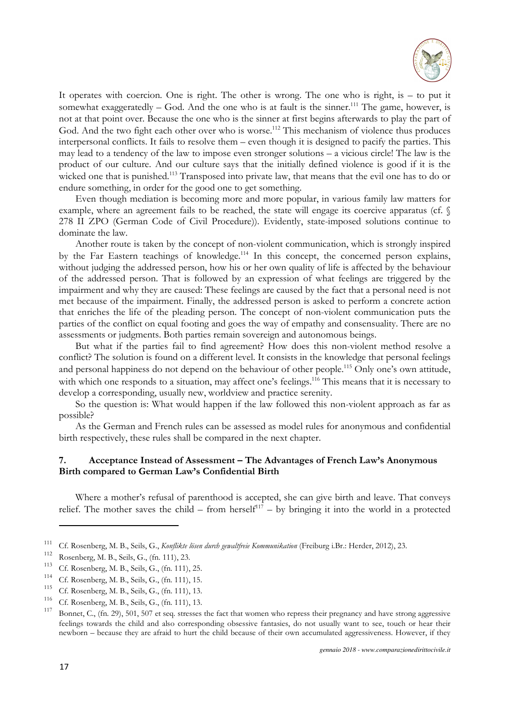

It operates with coercion. One is right. The other is wrong. The one who is right, is – to put it somewhat exaggeratedly  $-$  God. And the one who is at fault is the sinner.<sup>111</sup> The game, however, is not at that point over. Because the one who is the sinner at first begins afterwards to play the part of God. And the two fight each other over who is worse.<sup>112</sup> This mechanism of violence thus produces interpersonal conflicts. It fails to resolve them – even though it is designed to pacify the parties. This may lead to a tendency of the law to impose even stronger solutions – a vicious circle! The law is the product of our culture. And our culture says that the initially defined violence is good if it is the wicked one that is punished.<sup>113</sup> Transposed into private law, that means that the evil one has to do or endure something, in order for the good one to get something.

Even though mediation is becoming more and more popular, in various family law matters for example, where an agreement fails to be reached, the state will engage its coercive apparatus (cf. § 278 II ZPO (German Code of Civil Procedure)). Evidently, state-imposed solutions continue to dominate the law.

Another route is taken by the concept of non-violent communication, which is strongly inspired by the Far Eastern teachings of knowledge.<sup>114</sup> In this concept, the concerned person explains, without judging the addressed person, how his or her own quality of life is affected by the behaviour of the addressed person. That is followed by an expression of what feelings are triggered by the impairment and why they are caused: These feelings are caused by the fact that a personal need is not met because of the impairment. Finally, the addressed person is asked to perform a concrete action that enriches the life of the pleading person. The concept of non-violent communication puts the parties of the conflict on equal footing and goes the way of empathy and consensuality. There are no assessments or judgments. Both parties remain sovereign and autonomous beings.

But what if the parties fail to find agreement? How does this non-violent method resolve a conflict? The solution is found on a different level. It consists in the knowledge that personal feelings and personal happiness do not depend on the behaviour of other people.<sup>115</sup> Only one's own attitude, with which one responds to a situation, may affect one's feelings.<sup>116</sup> This means that it is necessary to develop a corresponding, usually new, worldview and practice serenity.

So the question is: What would happen if the law followed this non-violent approach as far as possible?

As the German and French rules can be assessed as model rules for anonymous and confidential birth respectively, these rules shall be compared in the next chapter.

## **7. Acceptance Instead of Assessment – The Advantages of French Law's Anonymous Birth compared to German Law's Confidential Birth**

Where a mother's refusal of parenthood is accepted, she can give birth and leave. That conveys relief. The mother saves the child – from herself<sup>117</sup> – by bringing it into the world in a protected

<sup>111</sup> Cf. Rosenberg, M. B., Seils, G., *Konflikte lösen durch gewaltfreie Kommunikation* (Freiburg i.Br.: Herder, 2012), 23.

<sup>&</sup>lt;sup>112</sup> Rosenberg, M. B., Seils, G., (fn. 111), 23.<br><sup>113</sup> C.C. Bassakan M. B., Seila, G. (fn. 111).

<sup>&</sup>lt;sup>113</sup> Cf. Rosenberg, M. B., Seils, G., (fn. 111), 25.

<sup>&</sup>lt;sup>114</sup> Cf. Rosenberg, M. B., Seils, G., (fn. 111), 15.

<sup>&</sup>lt;sup>115</sup> Cf. Rosenberg, M. B., Seils, G., (fn. 111), 13.

<sup>&</sup>lt;sup>116</sup> Cf. Rosenberg, M. B., Seils, G., (fn. 111), 13.

Bonnet, C., (fn. 29), 501, 507 et seq. stresses the fact that women who repress their pregnancy and have strong aggressive feelings towards the child and also corresponding obsessive fantasies, do not usually want to see, touch or hear their newborn – because they are afraid to hurt the child because of their own accumulated aggressiveness. However, if they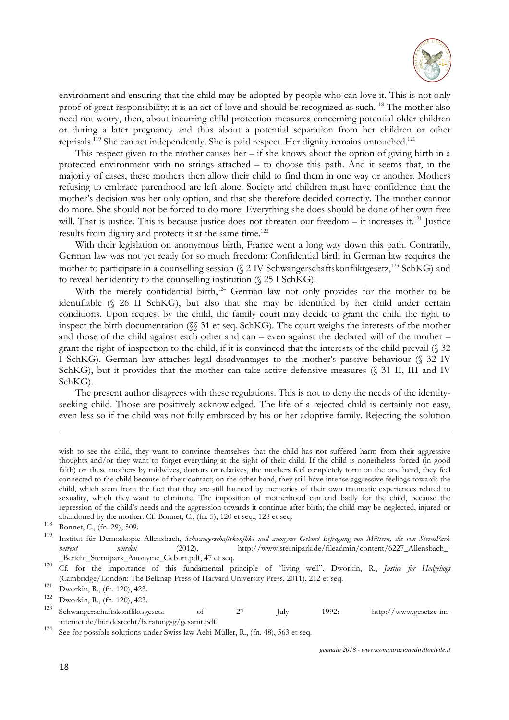

environment and ensuring that the child may be adopted by people who can love it. This is not only proof of great responsibility; it is an act of love and should be recognized as such.<sup>118</sup> The mother also need not worry, then, about incurring child protection measures concerning potential older children or during a later pregnancy and thus about a potential separation from her children or other reprisals.<sup>119</sup> She can act independently. She is paid respect. Her dignity remains untouched.<sup>120</sup>

This respect given to the mother causes her  $-$  if she knows about the option of giving birth in a protected environment with no strings attached – to choose this path. And it seems that, in the majority of cases, these mothers then allow their child to find them in one way or another. Mothers refusing to embrace parenthood are left alone. Society and children must have confidence that the mother's decision was her only option, and that she therefore decided correctly. The mother cannot do more. She should not be forced to do more. Everything she does should be done of her own free will. That is justice. This is because justice does not threaten our freedom – it increases it.<sup>121</sup> Justice results from dignity and protects it at the same time.<sup>122</sup>

With their legislation on anonymous birth, France went a long way down this path. Contrarily, German law was not yet ready for so much freedom: Confidential birth in German law requires the mother to participate in a counselling session (§ 2 IV Schwangerschaftskonfliktgesetz,<sup>123</sup> SchKG) and to reveal her identity to the counselling institution (§ 25 I SchKG).

With the merely confidential birth,<sup>124</sup> German law not only provides for the mother to be identifiable (§ 26 II SchKG), but also that she may be identified by her child under certain conditions. Upon request by the child, the family court may decide to grant the child the right to inspect the birth documentation (§§ 31 et seq. SchKG). The court weighs the interests of the mother and those of the child against each other and can – even against the declared will of the mother – grant the right of inspection to the child, if it is convinced that the interests of the child prevail (§ 32 I SchKG). German law attaches legal disadvantages to the mother's passive behaviour (§ 32 IV SchKG), but it provides that the mother can take active defensive measures (§ 31 II, III and IV SchKG).

The present author disagrees with these regulations. This is not to deny the needs of the identityseeking child. Those are positively acknowledged. The life of a rejected child is certainly not easy, even less so if the child was not fully embraced by his or her adoptive family. Rejecting the solution

wish to see the child, they want to convince themselves that the child has not suffered harm from their aggressive thoughts and/or they want to forget everything at the sight of their child. If the child is nonetheless forced (in good faith) on these mothers by midwives, doctors or relatives, the mothers feel completely torn: on the one hand, they feel connected to the child because of their contact; on the other hand, they still have intense aggressive feelings towards the child, which stem from the fact that they are still haunted by memories of their own traumatic experiences related to sexuality, which they want to eliminate. The imposition of motherhood can end badly for the child, because the repression of the child's needs and the aggression towards it continue after birth; the child may be neglected, injured or abandoned by the mother. Cf. Bonnet, C., (fn. 5), 120 et seq., 128 et seq.

<sup>119</sup>Institut für Demoskopie Allensbach, *Schwangerschaftskonflikt und anonyme Geburt Befragung von Müttern, die von SterniPark betreut wurden* (2012), http://www.sternipark.de/fileadmin/content/6227 Allensbach-\_Bericht\_Sternipark\_Anonyme\_Geburt.pdf, 47 et seq.

<sup>120</sup> Cf. for the importance of this fundamental principle of "living well", Dworkin, R., *Justice for Hedgehogs* (Cambridge/London: The Belknap Press of Harvard University Press, 2011), 212 et seq.

 $^{118}$  Bonnet, C., (fn. 29), 509.

<sup>&</sup>lt;sup>121</sup> Dworkin, R., (fn. 120), 423.

Dworkin, R., (fn. 120), 423.

<sup>&</sup>lt;sup>123</sup> Schwangerschaftskonfliktsgesetz of 27 July 1992: http://www.gesetze-iminternet.de/bundesrecht/beratungsg/gesamt.pdf.

 $124$  See for possible solutions under Swiss law Aebi-Müller, R., (fn. 48), 563 et seq.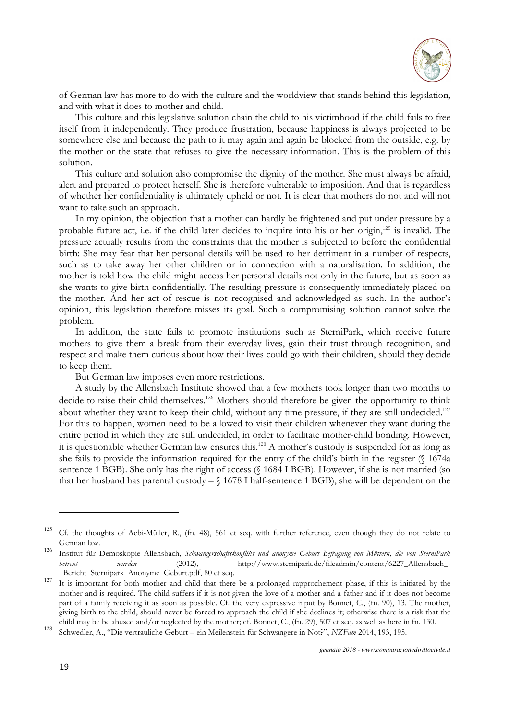

of German law has more to do with the culture and the worldview that stands behind this legislation, and with what it does to mother and child.

This culture and this legislative solution chain the child to his victimhood if the child fails to free itself from it independently. They produce frustration, because happiness is always projected to be somewhere else and because the path to it may again and again be blocked from the outside, e.g. by the mother or the state that refuses to give the necessary information. This is the problem of this solution.

This culture and solution also compromise the dignity of the mother. She must always be afraid, alert and prepared to protect herself. She is therefore vulnerable to imposition. And that is regardless of whether her confidentiality is ultimately upheld or not. It is clear that mothers do not and will not want to take such an approach.

In my opinion, the objection that a mother can hardly be frightened and put under pressure by a probable future act, i.e. if the child later decides to inquire into his or her origin,<sup>125</sup> is invalid. The pressure actually results from the constraints that the mother is subjected to before the confidential birth: She may fear that her personal details will be used to her detriment in a number of respects, such as to take away her other children or in connection with a naturalisation. In addition, the mother is told how the child might access her personal details not only in the future, but as soon as she wants to give birth confidentially. The resulting pressure is consequently immediately placed on the mother. And her act of rescue is not recognised and acknowledged as such. In the author's opinion, this legislation therefore misses its goal. Such a compromising solution cannot solve the problem.

In addition, the state fails to promote institutions such as SterniPark, which receive future mothers to give them a break from their everyday lives, gain their trust through recognition, and respect and make them curious about how their lives could go with their children, should they decide to keep them.

But German law imposes even more restrictions.

A study by the Allensbach Institute showed that a few mothers took longer than two months to decide to raise their child themselves.<sup>126</sup> Mothers should therefore be given the opportunity to think about whether they want to keep their child, without any time pressure, if they are still undecided.<sup>127</sup> For this to happen, women need to be allowed to visit their children whenever they want during the entire period in which they are still undecided, in order to facilitate mother-child bonding. However, it is questionable whether German law ensures this.<sup>128</sup> A mother's custody is suspended for as long as she fails to provide the information required for the entry of the child's birth in the register (§ 1674a sentence 1 BGB). She only has the right of access (§ 1684 I BGB). However, if she is not married (so that her husband has parental custody – § 1678 I half-sentence 1 BGB), she will be dependent on the

<sup>&</sup>lt;sup>125</sup> Cf. the thoughts of Aebi-Müller, R., (fn. 48), 561 et seq. with further reference, even though they do not relate to German law.

<sup>&</sup>lt;sup>126</sup> Institut für Demoskopie Allensbach, *Schwangerschaftskonflikt und anonyme Geburt Befragung von Müttern, die von SterniPark betreut wurden* (2012), http://www.sternipark.de/fileadmin/content/6227\_Allensbach\_- \_Bericht\_Sternipark\_Anonyme\_Geburt.pdf, 80 et seq.

 $\frac{1}{127}$  It is important for both mother and child that there be a prolonged rapprochement phase, if this is initiated by the mother and is required. The child suffers if it is not given the love of a mother and a father and if it does not become part of a family receiving it as soon as possible. Cf. the very expressive input by Bonnet, C., (fn. 90), 13. The mother, giving birth to the child, should never be forced to approach the child if she declines it; otherwise there is a risk that the child may be be abused and/or neglected by the mother; cf. Bonnet, C., (fn. 29), 507 et seq. as well as here in fn. 130.

<sup>128</sup> Schwedler, A., "Die vertrauliche Geburt – ein Meilenstein für Schwangere in Not?", *NZFam* 2014, 193, 195.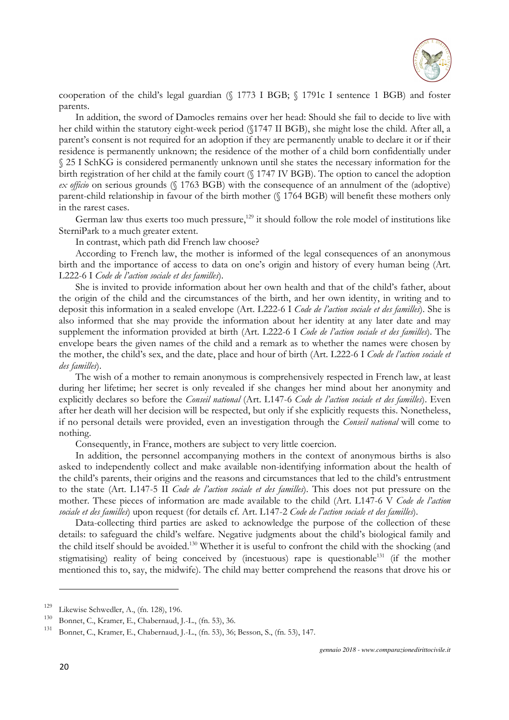

cooperation of the child's legal guardian (§ 1773 I BGB; § 1791c I sentence 1 BGB) and foster parents.

In addition, the sword of Damocles remains over her head: Should she fail to decide to live with her child within the statutory eight-week period (§1747 II BGB), she might lose the child. After all, a parent's consent is not required for an adoption if they are permanently unable to declare it or if their residence is permanently unknown; the residence of the mother of a child born confidentially under § 25 I SchKG is considered permanently unknown until she states the necessary information for the birth registration of her child at the family court (§ 1747 IV BGB). The option to cancel the adoption *ex officio* on serious grounds (§ 1763 BGB) with the consequence of an annulment of the (adoptive) parent-child relationship in favour of the birth mother (§ 1764 BGB) will benefit these mothers only in the rarest cases.

German law thus exerts too much pressure, $129$  it should follow the role model of institutions like SterniPark to a much greater extent.

In contrast, which path did French law choose?

According to French law, the mother is informed of the legal consequences of an anonymous birth and the importance of access to data on one's origin and history of every human being (Art. L222-6 I *Code de l'action sociale et des familles*).

She is invited to provide information about her own health and that of the child's father, about the origin of the child and the circumstances of the birth, and her own identity, in writing and to deposit this information in a sealed envelope (Art. L222-6 I *Code de l'action sociale et des familles*). She is also informed that she may provide the information about her identity at any later date and may supplement the information provided at birth (Art. L222-6 I *Code de l'action sociale et des familles*). The envelope bears the given names of the child and a remark as to whether the names were chosen by the mother, the child's sex, and the date, place and hour of birth (Art. L222-6 I *Code de l'action sociale et des familles*).

The wish of a mother to remain anonymous is comprehensively respected in French law, at least during her lifetime; her secret is only revealed if she changes her mind about her anonymity and explicitly declares so before the *Conseil national* (Art. L147-6 *Code de l'action sociale et des familles*). Even after her death will her decision will be respected, but only if she explicitly requests this. Nonetheless, if no personal details were provided, even an investigation through the *Conseil national* will come to nothing.

Consequently, in France, mothers are subject to very little coercion.

In addition, the personnel accompanying mothers in the context of anonymous births is also asked to independently collect and make available non-identifying information about the health of the child's parents, their origins and the reasons and circumstances that led to the child's entrustment to the state (Art. L147-5 II *Code de l'action sociale et des familles*). This does not put pressure on the mother. These pieces of information are made available to the child (Art. L147-6 V *Code de l'action sociale et des familles*) upon request (for details cf. Art. L147-2 *Code de l'action sociale et des familles*).

Data-collecting third parties are asked to acknowledge the purpose of the collection of these details: to safeguard the child's welfare. Negative judgments about the child's biological family and the child itself should be avoided.<sup>130</sup> Whether it is useful to confront the child with the shocking (and stigmatising) reality of being conceived by (incestuous) rape is questionable<sup>131</sup> (if the mother mentioned this to, say, the midwife). The child may better comprehend the reasons that drove his or

<sup>&</sup>lt;sup>129</sup> Likewise Schwedler, A., (fn. 128), 196.

<sup>&</sup>lt;sup>130</sup> Bonnet, C., Kramer, E., Chabernaud, J.-L., (fn. 53), 36.

<sup>131</sup>Bonnet, C., Kramer, E., Chabernaud, J.-L., (fn. 53), 36; Besson, S., (fn. 53), 147.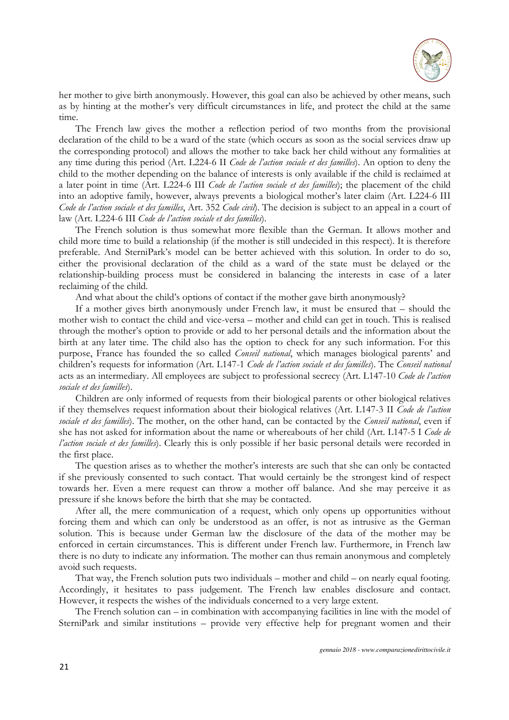

her mother to give birth anonymously. However, this goal can also be achieved by other means, such as by hinting at the mother's very difficult circumstances in life, and protect the child at the same time.

The French law gives the mother a reflection period of two months from the provisional declaration of the child to be a ward of the state (which occurs as soon as the social services draw up the corresponding protocol) and allows the mother to take back her child without any formalities at any time during this period (Art. L224-6 II *Code de l'action sociale et des familles*). An option to deny the child to the mother depending on the balance of interests is only available if the child is reclaimed at a later point in time (Art. L224-6 III *Code de l'action sociale et des familles*); the placement of the child into an adoptive family, however, always prevents a biological mother's later claim (Art. L224-6 III *Code de l'action sociale et des familles*, Art. 352 *Code civil*). The decision is subject to an appeal in a court of law (Art. L224-6 III *Code de l'action sociale et des familles*).

The French solution is thus somewhat more flexible than the German. It allows mother and child more time to build a relationship (if the mother is still undecided in this respect). It is therefore preferable. And SterniPark's model can be better achieved with this solution. In order to do so, either the provisional declaration of the child as a ward of the state must be delayed or the relationship-building process must be considered in balancing the interests in case of a later reclaiming of the child.

And what about the child's options of contact if the mother gave birth anonymously?

If a mother gives birth anonymously under French law, it must be ensured that – should the mother wish to contact the child and vice-versa – mother and child can get in touch. This is realised through the mother's option to provide or add to her personal details and the information about the birth at any later time. The child also has the option to check for any such information. For this purpose, France has founded the so called *Conseil national*, which manages biological parents' and children's requests for information (Art. L147-1 *Code de l'action sociale et des familles*). The *Conseil national* acts as an intermediary. All employees are subject to professional secrecy (Art. L147-10 *Code de l'action sociale et des familles*).

Children are only informed of requests from their biological parents or other biological relatives if they themselves request information about their biological relatives (Art. L147-3 II *Code de l'action sociale et des familles*). The mother, on the other hand, can be contacted by the *Conseil national*, even if she has not asked for information about the name or whereabouts of her child (Art. L147-5 I *Code de l'action sociale et des familles*). Clearly this is only possible if her basic personal details were recorded in the first place.

The question arises as to whether the mother's interests are such that she can only be contacted if she previously consented to such contact. That would certainly be the strongest kind of respect towards her. Even a mere request can throw a mother off balance. And she may perceive it as pressure if she knows before the birth that she may be contacted.

After all, the mere communication of a request, which only opens up opportunities without forcing them and which can only be understood as an offer, is not as intrusive as the German solution. This is because under German law the disclosure of the data of the mother may be enforced in certain circumstances. This is different under French law. Furthermore, in French law there is no duty to indicate any information. The mother can thus remain anonymous and completely avoid such requests.

That way, the French solution puts two individuals – mother and child – on nearly equal footing. Accordingly, it hesitates to pass judgement. The French law enables disclosure and contact. However, it respects the wishes of the individuals concerned to a very large extent.

The French solution can – in combination with accompanying facilities in line with the model of SterniPark and similar institutions – provide very effective help for pregnant women and their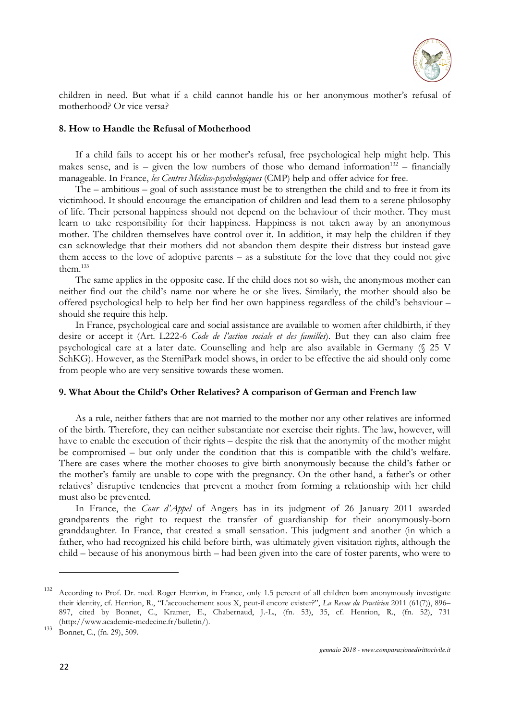

children in need. But what if a child cannot handle his or her anonymous mother's refusal of motherhood? Or vice versa?

#### **8. How to Handle the Refusal of Motherhood**

If a child fails to accept his or her mother's refusal, free psychological help might help. This makes sense, and is – given the low numbers of those who demand information<sup>132</sup> – financially manageable. In France, *les Centres Médico-psychologiques* (CMP) help and offer advice for free.

The – ambitious – goal of such assistance must be to strengthen the child and to free it from its victimhood. It should encourage the emancipation of children and lead them to a serene philosophy of life. Their personal happiness should not depend on the behaviour of their mother. They must learn to take responsibility for their happiness. Happiness is not taken away by an anonymous mother. The children themselves have control over it. In addition, it may help the children if they can acknowledge that their mothers did not abandon them despite their distress but instead gave them access to the love of adoptive parents – as a substitute for the love that they could not give them $133$ 

The same applies in the opposite case. If the child does not so wish, the anonymous mother can neither find out the child's name nor where he or she lives. Similarly, the mother should also be offered psychological help to help her find her own happiness regardless of the child's behaviour – should she require this help.

In France, psychological care and social assistance are available to women after childbirth, if they desire or accept it (Art. L222-6 *Code de l'action sociale et des familles*). But they can also claim free psychological care at a later date. Counselling and help are also available in Germany (§ 25 V SchKG). However, as the SterniPark model shows, in order to be effective the aid should only come from people who are very sensitive towards these women.

#### **9. What About the Child's Other Relatives? A comparison of German and French law**

As a rule, neither fathers that are not married to the mother nor any other relatives are informed of the birth. Therefore, they can neither substantiate nor exercise their rights. The law, however, will have to enable the execution of their rights – despite the risk that the anonymity of the mother might be compromised – but only under the condition that this is compatible with the child's welfare. There are cases where the mother chooses to give birth anonymously because the child's father or the mother's family are unable to cope with the pregnancy. On the other hand, a father's or other relatives' disruptive tendencies that prevent a mother from forming a relationship with her child must also be prevented.

In France, the *Cour d'Appel* of Angers has in its judgment of 26 January 2011 awarded grandparents the right to request the transfer of guardianship for their anonymously-born granddaughter. In France, that created a small sensation. This judgment and another (in which a father, who had recognized his child before birth, was ultimately given visitation rights, although the child – because of his anonymous birth – had been given into the care of foster parents, who were to

<sup>&</sup>lt;sup>132</sup> According to Prof. Dr. med. Roger Henrion, in France, only 1.5 percent of all children born anonymously investigate their identity, cf. Henrion, R., "L'accouchement sous X, peut-il encore exister?", *La Revue du Practicien* 2011 (61(7)), 896– 897, cited by Bonnet, C., Kramer, E., Chabernaud, J.-L., (fn. 53), 35, cf. Henrion, R., (fn. 52), 731 (http://www.academie-medecine.fr/bulletin/).

 $133$  Bonnet, C., (fn. 29), 509.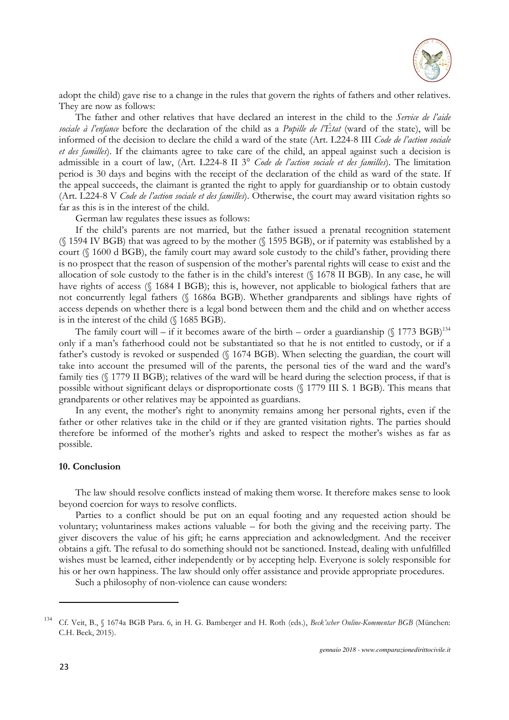

adopt the child) gave rise to a change in the rules that govern the rights of fathers and other relatives. They are now as follows:

The father and other relatives that have declared an interest in the child to the *Service de l'aide sociale à l'enfance* before the declaration of the child as a *Pupille de l'État* (ward of the state), will be informed of the decision to declare the child a ward of the state (Art. L224-8 III *Code de l'action sociale et des familles*). If the claimants agree to take care of the child, an appeal against such a decision is admissible in a court of law, (Art. L224-8 II 3° *Code de l'action sociale et des familles*). The limitation period is 30 days and begins with the receipt of the declaration of the child as ward of the state. If the appeal succeeds, the claimant is granted the right to apply for guardianship or to obtain custody (Art. L224-8 V *Code de l'action sociale et des familles*). Otherwise, the court may award visitation rights so far as this is in the interest of the child.

German law regulates these issues as follows:

If the child's parents are not married, but the father issued a prenatal recognition statement (§ 1594 IV BGB) that was agreed to by the mother (§ 1595 BGB), or if paternity was established by a court (§ 1600 d BGB), the family court may award sole custody to the child's father, providing there is no prospect that the reason of suspension of the mother's parental rights will cease to exist and the allocation of sole custody to the father is in the child's interest (§ 1678 II BGB). In any case, he will have rights of access (§ 1684 I BGB); this is, however, not applicable to biological fathers that are not concurrently legal fathers (§ 1686a BGB). Whether grandparents and siblings have rights of access depends on whether there is a legal bond between them and the child and on whether access is in the interest of the child (§ 1685 BGB).

The family court will – if it becomes aware of the birth – order a guardianship  $(\S 1773 \text{ BGB})^{134}$ only if a man's fatherhood could not be substantiated so that he is not entitled to custody, or if a father's custody is revoked or suspended (§ 1674 BGB). When selecting the guardian, the court will take into account the presumed will of the parents, the personal ties of the ward and the ward's family ties (§ 1779 II BGB); relatives of the ward will be heard during the selection process, if that is possible without significant delays or disproportionate costs (§ 1779 III S. 1 BGB). This means that grandparents or other relatives may be appointed as guardians.

In any event, the mother's right to anonymity remains among her personal rights, even if the father or other relatives take in the child or if they are granted visitation rights. The parties should therefore be informed of the mother's rights and asked to respect the mother's wishes as far as possible.

## **10. Conclusion**

The law should resolve conflicts instead of making them worse. It therefore makes sense to look beyond coercion for ways to resolve conflicts.

Parties to a conflict should be put on an equal footing and any requested action should be voluntary; voluntariness makes actions valuable – for both the giving and the receiving party. The giver discovers the value of his gift; he earns appreciation and acknowledgment. And the receiver obtains a gift. The refusal to do something should not be sanctioned. Instead, dealing with unfulfilled wishes must be learned, either independently or by accepting help. Everyone is solely responsible for his or her own happiness. The law should only offer assistance and provide appropriate procedures.

Such a philosophy of non-violence can cause wonders:

<sup>134</sup> Cf. Veit, B., § 1674a BGB Para. 6, in H. G. Bamberger and H. Roth (eds.), *Beck'scher Online-Kommentar BGB* (München: C.H. Beck, 2015).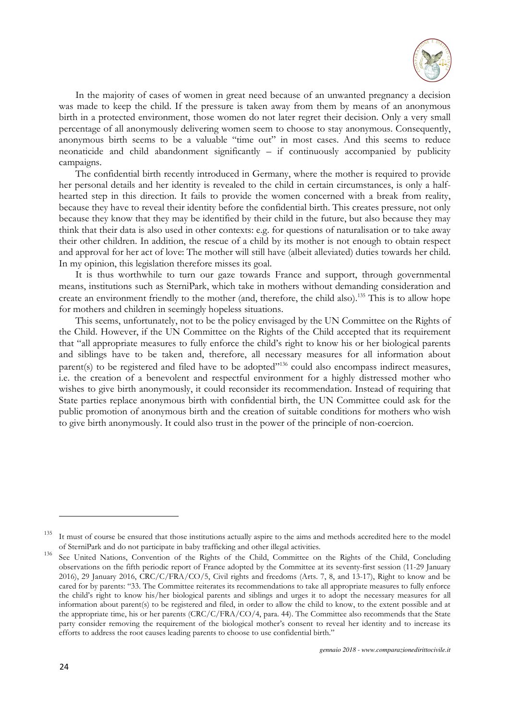

In the majority of cases of women in great need because of an unwanted pregnancy a decision was made to keep the child. If the pressure is taken away from them by means of an anonymous birth in a protected environment, those women do not later regret their decision. Only a very small percentage of all anonymously delivering women seem to choose to stay anonymous. Consequently, anonymous birth seems to be a valuable "time out" in most cases. And this seems to reduce neonaticide and child abandonment significantly – if continuously accompanied by publicity campaigns.

The confidential birth recently introduced in Germany, where the mother is required to provide her personal details and her identity is revealed to the child in certain circumstances, is only a halfhearted step in this direction. It fails to provide the women concerned with a break from reality, because they have to reveal their identity before the confidential birth. This creates pressure, not only because they know that they may be identified by their child in the future, but also because they may think that their data is also used in other contexts: e.g. for questions of naturalisation or to take away their other children. In addition, the rescue of a child by its mother is not enough to obtain respect and approval for her act of love: The mother will still have (albeit alleviated) duties towards her child. In my opinion, this legislation therefore misses its goal.

It is thus worthwhile to turn our gaze towards France and support, through governmental means, institutions such as SterniPark, which take in mothers without demanding consideration and create an environment friendly to the mother (and, therefore, the child also).<sup>135</sup> This is to allow hope for mothers and children in seemingly hopeless situations.

This seems, unfortunately, not to be the policy envisaged by the UN Committee on the Rights of the Child. However, if the UN Committee on the Rights of the Child accepted that its requirement that "all appropriate measures to fully enforce the child's right to know his or her biological parents and siblings have to be taken and, therefore, all necessary measures for all information about parent(s) to be registered and filed have to be adopted"<sup>136</sup> could also encompass indirect measures, i.e. the creation of a benevolent and respectful environment for a highly distressed mother who wishes to give birth anonymously, it could reconsider its recommendation. Instead of requiring that State parties replace anonymous birth with confidential birth, the UN Committee could ask for the public promotion of anonymous birth and the creation of suitable conditions for mothers who wish to give birth anonymously. It could also trust in the power of the principle of non-coercion.

<sup>&</sup>lt;sup>135</sup>It must of course be ensured that those institutions actually aspire to the aims and methods accredited here to the model of SterniPark and do not participate in baby trafficking and other illegal activities.

<sup>136</sup> See United Nations, Convention of the Rights of the Child, Committee on the Rights of the Child, Concluding observations on the fifth periodic report of France adopted by the Committee at its seventy-first session (11-29 January 2016), 29 January 2016, CRC/C/FRA/CO/5, Civil rights and freedoms (Arts. 7, 8, and 13-17), Right to know and be cared for by parents: "33. The Committee reiterates its recommendations to take all appropriate measures to fully enforce the child's right to know his/her biological parents and siblings and urges it to adopt the necessary measures for all information about parent(s) to be registered and filed, in order to allow the child to know, to the extent possible and at the appropriate time, his or her parents (CRC/C/FRA/CO/4, para. 44). The Committee also recommends that the State party consider removing the requirement of the biological mother's consent to reveal her identity and to increase its efforts to address the root causes leading parents to choose to use confidential birth."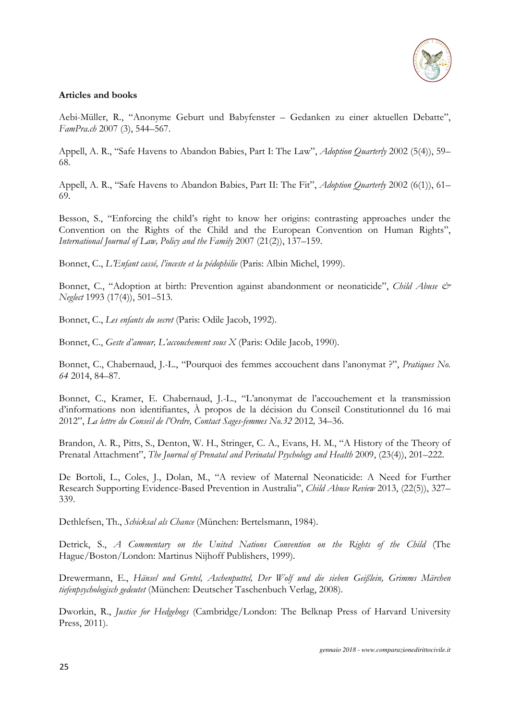

## **Articles and books**

Aebi-Müller, R., "Anonyme Geburt und Babyfenster – Gedanken zu einer aktuellen Debatte", *FamPra.ch* 2007 (3), 544–567.

Appell, A. R., "Safe Havens to Abandon Babies, Part I: The Law", *Adoption Quarterly* 2002 (5(4)), 59– 68.

Appell, A. R., "Safe Havens to Abandon Babies, Part II: The Fit", *Adoption Quarterly* 2002 (6(1)), 61– 69.

Besson, S., "Enforcing the child's right to know her origins: contrasting approaches under the Convention on the Rights of the Child and the European Convention on Human Rights", *International Journal of Law, Policy and the Family* 2007 (21(2)), 137–159.

Bonnet, C., *L'Enfant cassé, l'inceste et la pédophilie* (Paris: Albin Michel, 1999).

Bonnet, C., "Adoption at birth: Prevention against abandonment or neonaticide", *Child Abuse & Neglect* 1993 (17(4)), 501–513.

Bonnet, C., *Les enfants du secret* (Paris: Odile Jacob, 1992).

Bonnet, C., *Geste d'amour, L'accouchement sous X* (Paris: Odile Jacob, 1990).

Bonnet, C., Chabernaud, J.-L., "Pourquoi des femmes accouchent dans l'anonymat ?", *Pratiques No. 64* 2014, 84–87.

Bonnet, C., Kramer, E. Chabernaud, J.-L., "L'anonymat de l'accouchement et la transmission d'informations non identifiantes, À propos de la décision du Conseil Constitutionnel du 16 mai 2012", *La lettre du Conseil de l'Ordre, Contact Sages-femmes No.32* 2012*,* 34–36.

Brandon, A. R., Pitts, S., Denton, W. H., Stringer, C. A., Evans, H. M., "A History of the Theory of Prenatal Attachment", *The Journal of Prenatal and Perinatal Psychology and Health* 2009, (23(4)), 201–222.

De Bortoli, L., Coles, J., Dolan, M., "A review of Maternal Neonaticide: A Need for Further Research Supporting Evidence-Based Prevention in Australia", *Child Abuse Review* 2013, (22(5)), 327– 339.

Dethlefsen, Th., *Schicksal als Chance* (München: Bertelsmann, 1984).

Detrick, S., *A Commentary on the United Nations Convention on the Rights of the Child* (The Hague/Boston/London: Martinus Nijhoff Publishers, 1999).

Drewermann, E., *Hänsel und Gretel, Aschenputtel, Der Wolf und die sieben Geißlein, Grimms Märchen tiefenpsychologisch gedeutet* (München: Deutscher Taschenbuch Verlag, 2008).

Dworkin, R., *Justice for Hedgehogs* (Cambridge/London: The Belknap Press of Harvard University Press, 2011).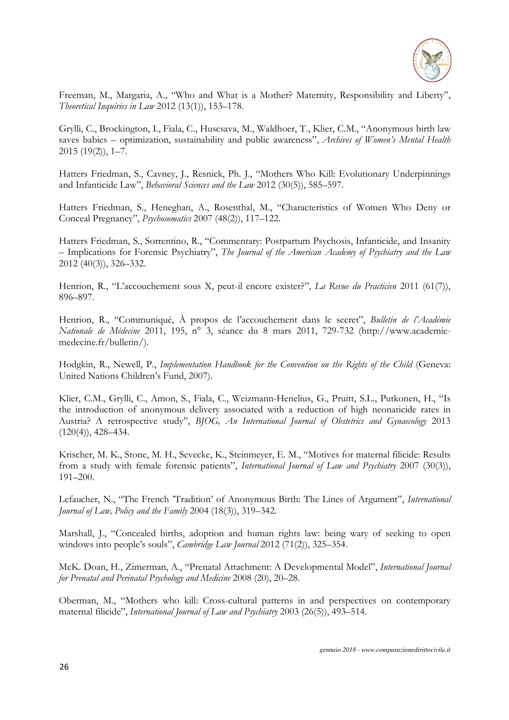

Freeman, M., Margaria, A., "Who and What is a Mother? Maternity, Responsibility and Liberty", *Theoretical Inquiries in Law* 2012 (13(1)), 153–178.

Grylli, C., Brockington, I., Fiala, C., Huscsava, M., Waldhoer, T., Klier, C.M., "Anonymous birth law saves babies – optimization, sustainability and public awareness", *Archives of Women's Mental Health* 2015 (19(2)), 1–7.

Hatters Friedman, S., Cavney, J., Resnick, Ph. J., "Mothers Who Kill: Evolutionary Underpinnings and Infanticide Law", *Behavioral Sciences and the Law* 2012 (30(5)), 585–597.

Hatters Friedman, S., Heneghan, A., Rosenthal, M., "Characteristics of Women Who Deny or Conceal Pregnancy", *Psychosomatics* 2007 (48(2)), 117–122.

Hatters Friedman, S., Sorrentino, R., "Commentary: Postpartum Psychosis, Infanticide, and Insanity – Implications for Forensic Psychiatry", *The Journal of the American Academy of Psychiatry and the Law* 2012 (40(3)), 326–332.

Henrion, R., "L'accouchement sous X, peut-il encore exister?", *La Revue du Practicien* 2011 (61(7)), 896–897.

Henrion, R., "Communiqué, À propos de l'accouchement dans le secret", *Bulletin de l'Académie Nationale de Médecine* 2011, 195, n° 3, séance du 8 mars 2011, 729-732 (http://www.academiemedecine.fr/bulletin/).

Hodgkin, R., Newell, P., *Implementation Handbook for the Convention on the Rights of the Child* (Geneva: United Nations Children's Fund, 2007).

Klier, C.M., Grylli, C., Amon, S., Fiala, C., Weizmann-Henelius, G., Pruitt, S.L., Putkonen, H., "Is the introduction of anonymous delivery associated with a reduction of high neonaticide rates in Austria? A retrospective study", *BJOG, An International Journal of Obstetrics and Gynaecology* 2013  $(120(4))$ , 428-434.

Krischer, M. K., Stone, M. H., Sevecke, K., Steinmeyer, E. M., "Motives for maternal filicide: Results from a study with female forensic patients", *International Journal of Law and Psychiatry* 2007 (30(3)), 191–200.

Lefaucher, N., "The French 'Tradition' of Anonymous Birth: The Lines of Argument", *International Journal of Law, Policy and the Family* 2004 (18(3)), 319–342.

Marshall, J., "Concealed births, adoption and human rights law: being wary of seeking to open windows into people's souls", *Cambridge Law Journal* 2012 (71(2)), 325–354.

McK. Doan, H., Zimerman, A., "Prenatal Attachment: A Developmental Model", *International Journal for Prenatal and Perinatal Psychology and Medicine* 2008 (20), 20–28.

Oberman, M., "Mothers who kill: Cross-cultural patterns in and perspectives on contemporary maternal filicide", *International Journal of Law and Psychiatry* 2003 (26(5)), 493–514.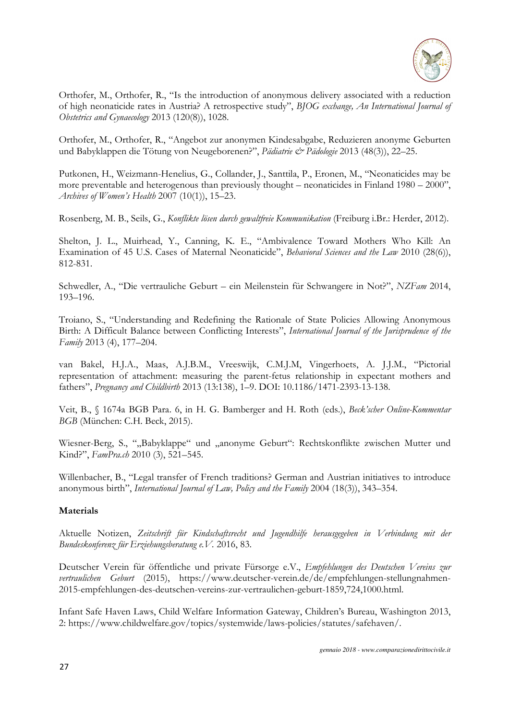

Orthofer, M., Orthofer, R., "Is the introduction of anonymous delivery associated with a reduction of high neonaticide rates in Austria? A retrospective study", *BJOG exchange, An International Journal of Obstetrics and Gynaecology* 2013 (120(8)), 1028.

Orthofer, M., Orthofer, R., "Angebot zur anonymen Kindesabgabe, Reduzieren anonyme Geburten und Babyklappen die Tötung von Neugeborenen?", *Pädiatrie & Pädologie* 2013 (48(3)), 22–25.

Putkonen, H., Weizmann-Henelius, G., Collander, J., Santtila, P., Eronen, M., "Neonaticides may be more preventable and heterogenous than previously thought – neonaticides in Finland 1980 – 2000", *Archives of Women's Health* 2007 (10(1)), 15–23.

Rosenberg, M. B., Seils, G., *Konflikte lösen durch gewaltfreie Kommunikation* (Freiburg i.Br.: Herder, 2012).

Shelton, J. L., Muirhead, Y., Canning, K. E., "Ambivalence Toward Mothers Who Kill: An Examination of 45 U.S. Cases of Maternal Neonaticide", *Behavioral Sciences and the Law* 2010 (28(6)), 812-831.

Schwedler, A., "Die vertrauliche Geburt – ein Meilenstein für Schwangere in Not?", *NZFam* 2014, 193–196.

Troiano, S., "Understanding and Redefining the Rationale of State Policies Allowing Anonymous Birth: A Difficult Balance between Conflicting Interests", *International Journal of the Jurisprudence of the Family* 2013 (4), 177–204.

van Bakel, H.J.A., Maas, A.J.B.M., Vreeswijk, C.M.J.M, Vingerhoets, A. J.J.M., "Pictorial representation of attachment: measuring the parent-fetus relationship in expectant mothers and fathers", *Pregnancy and Childbirth* 2013 (13:138), 1–9. DOI: 10.1186/1471-2393-13-138.

Veit, B., § 1674a BGB Para. 6, in H. G. Bamberger and H. Roth (eds.), *Beck'scher Online-Kommentar BGB* (München: C.H. Beck, 2015).

Wiesner-Berg, S., ""Babyklappe" und "anonyme Geburt": Rechtskonflikte zwischen Mutter und Kind?", *FamPra.ch* 2010 (3), 521–545.

Willenbacher, B., "Legal transfer of French traditions? German and Austrian initiatives to introduce anonymous birth", *International Journal of Law, Policy and the Family* 2004 (18(3)), 343–354.

## **Materials**

Aktuelle Notizen, *Zeitschrift für Kindschaftsrecht und Jugendhilfe herausgegeben in Verbindung mit der Bundeskonferenz für Erziehungsberatung e.V.* 2016, 83.

Deutscher Verein für öffentliche und private Fürsorge e.V., *Empfehlungen des Deutschen Vereins zur vertraulichen Geburt* (2015), https://www.deutscher-verein.de/de/empfehlungen-stellungnahmen-2015-empfehlungen-des-deutschen-vereins-zur-vertraulichen-geburt-1859,724,1000.html.

Infant Safe Haven Laws, Child Welfare Information Gateway, Children's Bureau, Washington 2013, 2: https://www.childwelfare.gov/topics/systemwide/laws-policies/statutes/safehaven/.